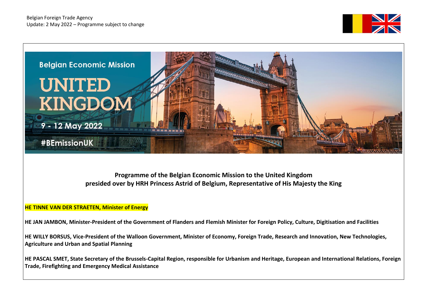



**Programme of the Belgian Economic Mission to the United Kingdom presided over by HRH Princess Astrid of Belgium, Representative of His Majesty the King**

## **HE TINNE VAN DER STRAETEN, Minister of Energy**

**HE JAN JAMBON, Minister-President of the Government of Flanders and Flemish Minister for Foreign Policy, Culture, Digitisation and Facilities**

**HE WILLY BORSUS, Vice-President of the Walloon Government, Minister of Economy, Foreign Trade, Research and Innovation, New Technologies, Agriculture and Urban and Spatial Planning** 

**HE PASCAL SMET, State Secretary of the Brussels-Capital Region, responsible for Urbanism and Heritage, European and International Relations, Foreign Trade, Firefighting and Emergency Medical Assistance**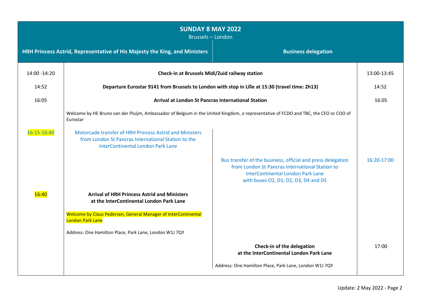| <b>SUNDAY 8 MAY 2022</b><br><b>Brussels - London</b> |                                                                                                                                                                                                                                                                                                                |                                                                                                                                                            |             |  |
|------------------------------------------------------|----------------------------------------------------------------------------------------------------------------------------------------------------------------------------------------------------------------------------------------------------------------------------------------------------------------|------------------------------------------------------------------------------------------------------------------------------------------------------------|-------------|--|
|                                                      | HRH Princess Astrid, Representative of His Majesty the King, and Ministers<br><b>Business delegation</b>                                                                                                                                                                                                       |                                                                                                                                                            |             |  |
| 14:00 - 14:20                                        | Check-in at Brussels Midi/Zuid railway station                                                                                                                                                                                                                                                                 |                                                                                                                                                            | 13:00-13:45 |  |
| 14:52                                                | Departure Eurostar 9141 from Brussels to London with stop in Lille at 15:30 (travel time: 2h13)                                                                                                                                                                                                                |                                                                                                                                                            | 14:52       |  |
| 16:05                                                | Arrival at London St Pancras International Station                                                                                                                                                                                                                                                             |                                                                                                                                                            | 16:05       |  |
| 16:15-16:40                                          | Welcome by HE Bruno van der Pluijm, Ambassador of Belgium in the United Kingdom, a representative of FCDO and TBC, the CEO or COO of<br>Eurostar<br>Motorcade transfer of HRH Princess Astrid and Ministers<br>from London St Pancras International Station to the<br><b>InterContinental London Park Lane</b> | Bus transfer of the business, official and press delegation<br>from London St Pancras International Station to<br><b>InterContinental London Park Lane</b> | 16:20-17:00 |  |
| 16:40                                                | <b>Arrival of HRH Princess Astrid and Ministers</b><br>at the InterContinental London Park Lane<br>Welcome by Claus Pedersen, General Manager of InterContinental<br>London Park Lane<br>Address: One Hamilton Place, Park Lane, London W1J 7QY                                                                | with buses O2, D1, D2, D3, D4 and D5                                                                                                                       |             |  |
|                                                      |                                                                                                                                                                                                                                                                                                                | Check-in of the delegation<br>at the InterContinental London Park Lane                                                                                     | 17:00       |  |
|                                                      |                                                                                                                                                                                                                                                                                                                | Address: One Hamilton Place, Park Lane, London W1J 7QY                                                                                                     |             |  |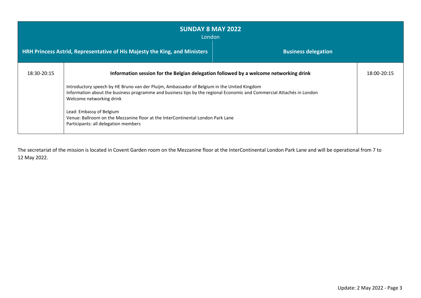| <b>SUNDAY 8 MAY 2022</b><br>London                                                                       |                                                                                                                                                                                                                                                                                                                                                                                                                                                                                                  |  |             |
|----------------------------------------------------------------------------------------------------------|--------------------------------------------------------------------------------------------------------------------------------------------------------------------------------------------------------------------------------------------------------------------------------------------------------------------------------------------------------------------------------------------------------------------------------------------------------------------------------------------------|--|-------------|
| HRH Princess Astrid, Representative of His Majesty the King, and Ministers<br><b>Business delegation</b> |                                                                                                                                                                                                                                                                                                                                                                                                                                                                                                  |  |             |
| 18:30-20:15                                                                                              | Information session for the Belgian delegation followed by a welcome networking drink<br>Introductory speech by HE Bruno van der Pluijm, Ambassador of Belgium in the United Kingdom<br>Information about the business programme and business tips by the regional Economic and Commercial Attachés in London<br>Welcome networking drink<br>Lead: Embassy of Belgium<br>Venue: Ballroom on the Mezzanine floor at the InterContinental London Park Lane<br>Participants: all delegation members |  | 18:00-20:15 |

The secretariat of the mission is located in Covent Garden room on the Mezzanine floor at the InterContinental London Park Lane and will be operational from 7 to 12 May 2022.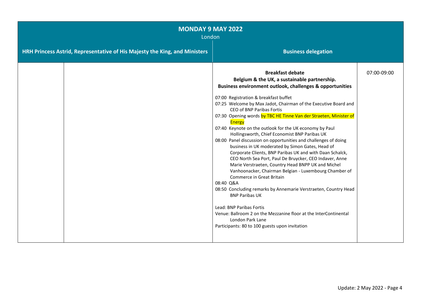| <b>MONDAY 9 MAY 2022</b><br>London |                                                                            |                                                                                                                                                                                                                                                                                                                                                                                                                                                                                                                                                                                                                                                                                                                                                                                                                                                                                                                                                                                                                                                                                                                                                              |             |
|------------------------------------|----------------------------------------------------------------------------|--------------------------------------------------------------------------------------------------------------------------------------------------------------------------------------------------------------------------------------------------------------------------------------------------------------------------------------------------------------------------------------------------------------------------------------------------------------------------------------------------------------------------------------------------------------------------------------------------------------------------------------------------------------------------------------------------------------------------------------------------------------------------------------------------------------------------------------------------------------------------------------------------------------------------------------------------------------------------------------------------------------------------------------------------------------------------------------------------------------------------------------------------------------|-------------|
|                                    | HRH Princess Astrid, Representative of His Majesty the King, and Ministers | <b>Business delegation</b>                                                                                                                                                                                                                                                                                                                                                                                                                                                                                                                                                                                                                                                                                                                                                                                                                                                                                                                                                                                                                                                                                                                                   |             |
|                                    |                                                                            | <b>Breakfast debate</b><br>Belgium & the UK, a sustainable partnership.<br><b>Business environment outlook, challenges &amp; opportunities</b><br>07:00 Registration & breakfast buffet<br>07:25 Welcome by Max Jadot, Chairman of the Executive Board and<br>CEO of BNP Paribas Fortis<br>07:30 Opening words by TBC HE Tinne Van der Straeten, Minister of<br>Energy<br>07:40 Keynote on the outlook for the UK economy by Paul<br>Hollingsworth, Chief Economist BNP Paribas UK<br>08:00 Panel discussion on opportunities and challenges of doing<br>business in UK moderated by Simon Gates, Head of<br>Corporate Clients, BNP Paribas UK and with Daan Schalck,<br>CEO North Sea Port, Paul De Bruycker, CEO Indaver, Anne<br>Marie Verstraeten, Country Head BNPP UK and Michel<br>Vanhoonacker, Chairman Belgian - Luxembourg Chamber of<br>Commerce in Great Britain<br>08:40 Q&A<br>08:50 Concluding remarks by Annemarie Verstraeten, Country Head<br><b>BNP Paribas UK</b><br>Lead: BNP Paribas Fortis<br>Venue: Ballroom 2 on the Mezzanine floor at the InterContinental<br>London Park Lane<br>Participants: 80 to 100 guests upon invitation | 07:00-09:00 |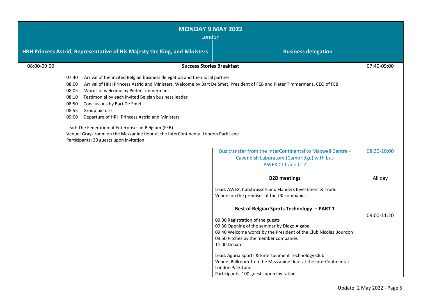| <b>MONDAY 9 MAY 2022</b><br>London |                                                                                                                                                                                                                                                                                                                                                                                                                                                                                                                                                                                                                                                                  |                                                                                                                                                                                                                                                                                                                                                                                                                                                        |             |
|------------------------------------|------------------------------------------------------------------------------------------------------------------------------------------------------------------------------------------------------------------------------------------------------------------------------------------------------------------------------------------------------------------------------------------------------------------------------------------------------------------------------------------------------------------------------------------------------------------------------------------------------------------------------------------------------------------|--------------------------------------------------------------------------------------------------------------------------------------------------------------------------------------------------------------------------------------------------------------------------------------------------------------------------------------------------------------------------------------------------------------------------------------------------------|-------------|
|                                    | <b>Business delegation</b><br>HRH Princess Astrid, Representative of His Majesty the King, and Ministers                                                                                                                                                                                                                                                                                                                                                                                                                                                                                                                                                         |                                                                                                                                                                                                                                                                                                                                                                                                                                                        |             |
| 08:00-09:00                        | <b>Success Stories Breakfast</b>                                                                                                                                                                                                                                                                                                                                                                                                                                                                                                                                                                                                                                 |                                                                                                                                                                                                                                                                                                                                                                                                                                                        | 07:40-09:00 |
|                                    | Arrival of the invited Belgian business delegation and their local partner<br>07:40<br>08:00<br>Arrival of HRH Princess Astrid and Ministers. Welcome by Bart De Smet, President of FEB and Pieter Timmermans, CEO of FEB<br>08:05<br>Words of welcome by Pieter Timmermans<br>Testimonial by each invited Belgian business leader<br>08:10<br>08:50<br>Conclusions by Bart De Smet<br>08:55<br>Group picture<br>09:00<br>Departure of HRH Princess Astrid and Ministers<br>Lead: The Federation of Enterprises in Belgium (FEB)<br>Venue: Grays room on the Mezzanine floor at the InterContinental London Park Lane<br>Participants: 30 guests upon invitation |                                                                                                                                                                                                                                                                                                                                                                                                                                                        |             |
|                                    |                                                                                                                                                                                                                                                                                                                                                                                                                                                                                                                                                                                                                                                                  | Bus transfer from the InterContinental to Maxwell Centre -<br>Cavendish Laboratory (Cambridge) with bus<br><b>AWEX CT1 and CT2</b>                                                                                                                                                                                                                                                                                                                     | 08:30-10:00 |
|                                    |                                                                                                                                                                                                                                                                                                                                                                                                                                                                                                                                                                                                                                                                  | <b>B2B</b> meetings                                                                                                                                                                                                                                                                                                                                                                                                                                    | All day     |
|                                    |                                                                                                                                                                                                                                                                                                                                                                                                                                                                                                                                                                                                                                                                  | Lead: AWEX, hub.brussels and Flanders Investment & Trade<br>Venue: on the premises of the UK companies                                                                                                                                                                                                                                                                                                                                                 |             |
|                                    |                                                                                                                                                                                                                                                                                                                                                                                                                                                                                                                                                                                                                                                                  | Best of Belgian Sports Technology - PART 1<br>09:00 Registration of the guests<br>09:30 Opening of the seminar by Diego Algaba<br>09:40 Welcome words by the President of the Club Nicolas Bourdon<br>09:50 Pitches by the member companies<br>11:00 Debate<br>Lead: Agoria Sports & Entertainment Technology Club<br>Venue: Ballroom 1 on the Mezzanine floor at the InterContinental<br>London Park Lane<br>Participants: 100 guests upon invitation | 09:00-11:20 |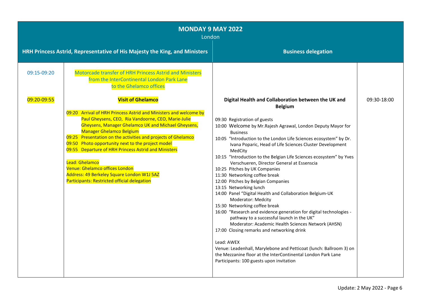| <b>MONDAY 9 MAY 2022</b><br>London |                                                                                                                                                                                                                                                                                                                                                                                                                                                                                                                                                                                       |                                                                                                                                                                                                                                                                                                                                                                                                                                                                                                                                                                                                                                                                                                                                                                                                                                                                                                                                                                                                                                                                                                                                              |             |
|------------------------------------|---------------------------------------------------------------------------------------------------------------------------------------------------------------------------------------------------------------------------------------------------------------------------------------------------------------------------------------------------------------------------------------------------------------------------------------------------------------------------------------------------------------------------------------------------------------------------------------|----------------------------------------------------------------------------------------------------------------------------------------------------------------------------------------------------------------------------------------------------------------------------------------------------------------------------------------------------------------------------------------------------------------------------------------------------------------------------------------------------------------------------------------------------------------------------------------------------------------------------------------------------------------------------------------------------------------------------------------------------------------------------------------------------------------------------------------------------------------------------------------------------------------------------------------------------------------------------------------------------------------------------------------------------------------------------------------------------------------------------------------------|-------------|
|                                    | HRH Princess Astrid, Representative of His Majesty the King, and Ministers                                                                                                                                                                                                                                                                                                                                                                                                                                                                                                            | <b>Business delegation</b>                                                                                                                                                                                                                                                                                                                                                                                                                                                                                                                                                                                                                                                                                                                                                                                                                                                                                                                                                                                                                                                                                                                   |             |
| 09:15-09:20                        | Motorcade transfer of HRH Princess Astrid and Ministers<br>from the InterContinental London Park Lane<br>to the Ghelamco offices                                                                                                                                                                                                                                                                                                                                                                                                                                                      |                                                                                                                                                                                                                                                                                                                                                                                                                                                                                                                                                                                                                                                                                                                                                                                                                                                                                                                                                                                                                                                                                                                                              |             |
| 09:20-09:55                        | <b>Visit of Ghelamco</b><br>09:20 Arrival of HRH Princess Astrid and Ministers and welcome by<br>Paul Gheysens, CEO, Ria Vandoorne, CEO, Marie-Julie<br><b>Gheysens, Manager Ghelamco UK and Michael Gheysens,</b><br><b>Manager Ghelamco Belgium</b><br>09:25 Presentation on the activities and projects of Ghelamco<br>09:50 Photo opportunity next to the project model<br>09:55 Departure of HRH Princess Astrid and Ministers<br>Lead: Ghelamco<br>Venue: Ghelamco offices London<br>Address: 49 Berkeley Square London W1J 5AZ<br>Participants: Restricted official delegation | Digital Health and Collaboration between the UK and<br><b>Belgium</b><br>09:30 Registration of guests<br>10:00 Welcome by Mr. Rajesh Agrawal, London Deputy Mayor for<br><b>Business</b><br>10:05 "Introduction to the London Life Sciences ecosystem" by Dr.<br>Ivana Poparic, Head of Life Sciences Cluster Development<br>MedCity<br>10:15 "Introduction to the Belgian Life Sciences ecosystem" by Yves<br>Verschueren, Director General at Essenscia<br>10:25 Pitches by UK Companies<br>11:30 Networking coffee break<br>12:00 Pitches by Belgian Companies<br>13:15 Networking lunch<br>14:00 Panel "Digital Health and Collaboration Belgium-UK<br><b>Moderator: Medcity</b><br>15:30 Networking coffee break<br>16:00 "Research and evidence generation for digital technologies -<br>pathway to a successful launch in the UK"<br>Moderator: Academic Health Sciences Network (AHSN)<br>17:00 Closing remarks and networking drink<br>Lead: AWEX<br>Venue: Leadenhall, Marylebone and Petticoat (lunch: Ballroom 3) on<br>the Mezzanine floor at the InterContinental London Park Lane<br>Participants: 100 guests upon invitation | 09:30-18:00 |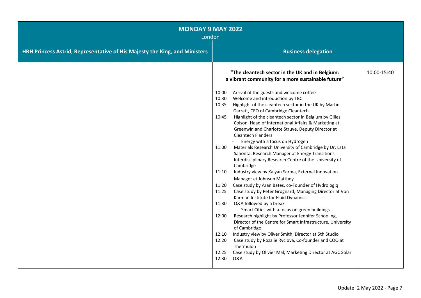| <b>MONDAY 9 MAY 2022</b><br>London |                                                                            |                                                                                                                                                                                                                                                                                                                                                                                                                                                                                                                                                                                                                                                                                                                                                                                                                                                                                                                                                                                                                                                                                                                                                                                                                                                                                                                                                                                                       |             |
|------------------------------------|----------------------------------------------------------------------------|-------------------------------------------------------------------------------------------------------------------------------------------------------------------------------------------------------------------------------------------------------------------------------------------------------------------------------------------------------------------------------------------------------------------------------------------------------------------------------------------------------------------------------------------------------------------------------------------------------------------------------------------------------------------------------------------------------------------------------------------------------------------------------------------------------------------------------------------------------------------------------------------------------------------------------------------------------------------------------------------------------------------------------------------------------------------------------------------------------------------------------------------------------------------------------------------------------------------------------------------------------------------------------------------------------------------------------------------------------------------------------------------------------|-------------|
|                                    | HRH Princess Astrid, Representative of His Majesty the King, and Ministers | <b>Business delegation</b>                                                                                                                                                                                                                                                                                                                                                                                                                                                                                                                                                                                                                                                                                                                                                                                                                                                                                                                                                                                                                                                                                                                                                                                                                                                                                                                                                                            |             |
|                                    |                                                                            | "The cleantech sector in the UK and in Belgium:<br>a vibrant community for a more sustainable future"                                                                                                                                                                                                                                                                                                                                                                                                                                                                                                                                                                                                                                                                                                                                                                                                                                                                                                                                                                                                                                                                                                                                                                                                                                                                                                 | 10:00-15:40 |
|                                    |                                                                            | Arrival of the guests and welcome coffee<br>10:00<br>Welcome and introduction by TBC<br>10:30<br>Highlight of the cleantech sector in the UK by Martin<br>10:35<br>Garratt, CEO of Cambridge Cleantech<br>Highlight of the cleantech sector in Belgium by Gilles<br>10:45<br>Colson, Head of International Affairs & Marketing at<br>Greenwin and Charlotte Struye, Deputy Director at<br><b>Cleantech Flanders</b><br>Energy with a focus on Hydrogen<br>Materials Research University of Cambridge by Dr. Lata<br>11:00<br>Sahonta, Research Manager at Energy Transitions<br>Interdisciplinary Research Centre of the University of<br>Cambridge<br>Industry view by Kalyan Sarma, External Innovation<br>11:10<br>Manager at Johnson Matthey<br>Case study by Aran Bates, co-Founder of Hydrologiq<br>11:20<br>11:25<br>Case study by Peter Grognard, Managing Director at Von<br>Karman Institute for Fluid Dynamics<br>Q&A followed by a break<br>11:30<br>- Smart Cities with a focus on green buildings<br>Research highlight by Professor Jennifer Schooling,<br>12:00<br>Director of the Centre for Smart Infrastructure, University<br>of Cambridge<br>Industry view by Oliver Smith, Director at 5th Studio<br>12:10<br>Case study by Rozalie Ryclova, Co-founder and COO at<br>12:20<br>Thermulon<br>12:25<br>Case study by Olivier Mal, Marketing Director at AGC Solar<br>12:30<br>Q&A |             |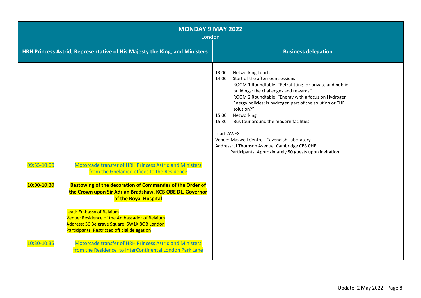| <b>MONDAY 9 MAY 2022</b><br>London |                                                                                                                                                                                  |                                                                                                                                                                                                                                                                                                                                                                                                                                                                                                                                                                 |  |
|------------------------------------|----------------------------------------------------------------------------------------------------------------------------------------------------------------------------------|-----------------------------------------------------------------------------------------------------------------------------------------------------------------------------------------------------------------------------------------------------------------------------------------------------------------------------------------------------------------------------------------------------------------------------------------------------------------------------------------------------------------------------------------------------------------|--|
|                                    | HRH Princess Astrid, Representative of His Majesty the King, and Ministers                                                                                                       | <b>Business delegation</b>                                                                                                                                                                                                                                                                                                                                                                                                                                                                                                                                      |  |
| 09:55-10:00                        | Motorcade transfer of HRH Princess Astrid and Ministers<br>from the Ghelamco offices to the Residence                                                                            | Networking Lunch<br>13:00<br>Start of the afternoon sessions:<br>14:00<br>ROOM 1 Roundtable: "Retrofitting for private and public<br>buildings: the challenges and rewards"<br>ROOM 2 Roundtable: "Energy with a focus on Hydrogen -<br>Energy policies; is hydrogen part of the solution or THE<br>solution?"<br>Networking<br>15:00<br>Bus tour around the modern facilities<br>15:30<br>Lead: AWEX<br>Venue: Maxwell Centre - Cavendish Laboratory<br>Address: JJ Thomson Avenue, Cambridge CB3 OHE<br>Participants: Approximately 50 guests upon invitation |  |
| 10:00-10:30                        | Bestowing of the decoration of Commander of the Order of<br>the Crown upon Sir Adrian Bradshaw, KCB OBE DL, Governor<br>of the Royal Hospital                                    |                                                                                                                                                                                                                                                                                                                                                                                                                                                                                                                                                                 |  |
|                                    | <b>Lead: Embassy of Belgium</b><br>Venue: Residence of the Ambassador of Belgium<br>Address: 36 Belgrave Square, SW1X 8QB London<br>Participants: Restricted official delegation |                                                                                                                                                                                                                                                                                                                                                                                                                                                                                                                                                                 |  |
| 10:30-10:35                        | Motorcade transfer of HRH Princess Astrid and Ministers<br>from the Residence to InterContinental London Park Lane                                                               |                                                                                                                                                                                                                                                                                                                                                                                                                                                                                                                                                                 |  |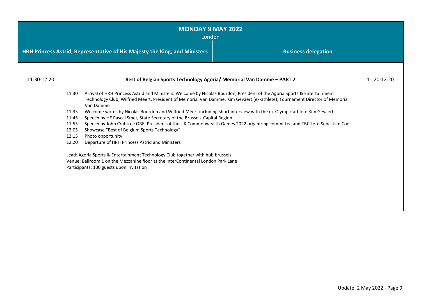| <b>MONDAY 9 MAY 2022</b><br>London |                                                                                                                                                                                                                                                                                                                                                                                                                                                                                                                                                                                                                                                                                                                                                                                                                                                                                                                                                                                                                                                                                         |  |             |  |
|------------------------------------|-----------------------------------------------------------------------------------------------------------------------------------------------------------------------------------------------------------------------------------------------------------------------------------------------------------------------------------------------------------------------------------------------------------------------------------------------------------------------------------------------------------------------------------------------------------------------------------------------------------------------------------------------------------------------------------------------------------------------------------------------------------------------------------------------------------------------------------------------------------------------------------------------------------------------------------------------------------------------------------------------------------------------------------------------------------------------------------------|--|-------------|--|
|                                    | HRH Princess Astrid, Representative of His Majesty the King, and Ministers<br><b>Business delegation</b>                                                                                                                                                                                                                                                                                                                                                                                                                                                                                                                                                                                                                                                                                                                                                                                                                                                                                                                                                                                |  |             |  |
| 11:30-12:20                        |                                                                                                                                                                                                                                                                                                                                                                                                                                                                                                                                                                                                                                                                                                                                                                                                                                                                                                                                                                                                                                                                                         |  | 11:20-12:20 |  |
|                                    | Best of Belgian Sports Technology Agoria/ Memorial Van Damme - PART 2<br>Arrival of HRH Princess Astrid and Ministers. Welcome by Nicolas Bourdon, President of the Agoria Sports & Entertainment<br>11:30<br>Technology Club, Wilfried Meert, President of Memorial Van Damme, Kim Gevaert (ex-athlete), Tournament Director of Memorial<br>Van Damme<br>Welcome words by Nicolas Bourdon and Wilfried Meert including short interview with the ex-Olympic athlete Kim Gevaert<br>11:35<br>Speech by HE Pascal Smet, State Secretary of the Brussels-Capital Region<br>11:45<br>Speech by John Crabtree OBE, President of the UK Commonwealth Games 2022 organizing committee and TBC Lord Sebastian Coe<br>11:55<br>Showcase "Best of Belgium Sports Technology"<br>12:05<br>12:15<br>Photo opportunity<br>Departure of HRH Princess Astrid and Ministers<br>12:20<br>Lead: Agoria Sports & Entertainment Technology Club together with hub.brussels<br>Venue: Ballroom 1 on the Mezzanine floor at the InterContinental London Park Lane<br>Participants: 100 guests upon invitation |  |             |  |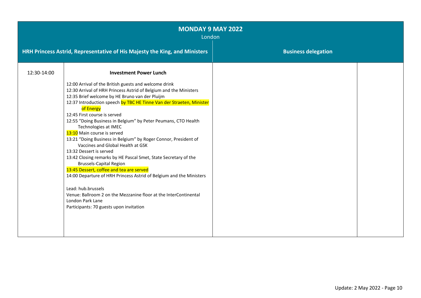| <b>MONDAY 9 MAY 2022</b><br>London |                                                                                                                                                                                                                                                                                                                                                                                                                                                                                                                                                                                                                                                                                                                                                                                                                                                                                                                                                                                 |                            |  |
|------------------------------------|---------------------------------------------------------------------------------------------------------------------------------------------------------------------------------------------------------------------------------------------------------------------------------------------------------------------------------------------------------------------------------------------------------------------------------------------------------------------------------------------------------------------------------------------------------------------------------------------------------------------------------------------------------------------------------------------------------------------------------------------------------------------------------------------------------------------------------------------------------------------------------------------------------------------------------------------------------------------------------|----------------------------|--|
|                                    | HRH Princess Astrid, Representative of His Majesty the King, and Ministers                                                                                                                                                                                                                                                                                                                                                                                                                                                                                                                                                                                                                                                                                                                                                                                                                                                                                                      | <b>Business delegation</b> |  |
| 12:30-14:00                        | <b>Investment Power Lunch</b><br>12:00 Arrival of the British guests and welcome drink<br>12:30 Arrival of HRH Princess Astrid of Belgium and the Ministers<br>12:35 Brief welcome by HE Bruno van der Pluijm<br>12:37 Introduction speech by TBC HE Tinne Van der Straeten, Minister<br>of Energy<br>12:45 First course is served<br>12:55 "Doing Business in Belgium" by Peter Peumans, CTO Health<br>Technologies at IMEC<br>13:10 Main course is served<br>13:21 "Doing Business in Belgium" by Roger Connor, President of<br>Vaccines and Global Health at GSK<br>13:32 Dessert is served<br>13:42 Closing remarks by HE Pascal Smet, State Secretary of the<br><b>Brussels-Capital Region</b><br>13:45 Dessert, coffee and tea are served<br>14:00 Departure of HRH Princess Astrid of Belgium and the Ministers<br>Lead: hub.brussels<br>Venue: Ballroom 2 on the Mezzanine floor at the InterContinental<br>London Park Lane<br>Participants: 70 guests upon invitation |                            |  |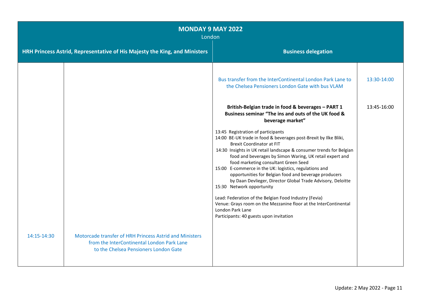| <b>MONDAY 9 MAY 2022</b><br>London |                                                                                                                                                |                                                                                                                                                                                                                                                                                                                                                                                                                                                                                                                                                                                                                                                                                                                                                                                                                                                                   |             |
|------------------------------------|------------------------------------------------------------------------------------------------------------------------------------------------|-------------------------------------------------------------------------------------------------------------------------------------------------------------------------------------------------------------------------------------------------------------------------------------------------------------------------------------------------------------------------------------------------------------------------------------------------------------------------------------------------------------------------------------------------------------------------------------------------------------------------------------------------------------------------------------------------------------------------------------------------------------------------------------------------------------------------------------------------------------------|-------------|
|                                    | HRH Princess Astrid, Representative of His Majesty the King, and Ministers                                                                     | <b>Business delegation</b>                                                                                                                                                                                                                                                                                                                                                                                                                                                                                                                                                                                                                                                                                                                                                                                                                                        |             |
|                                    |                                                                                                                                                | Bus transfer from the InterContinental London Park Lane to<br>the Chelsea Pensioners London Gate with bus VLAM                                                                                                                                                                                                                                                                                                                                                                                                                                                                                                                                                                                                                                                                                                                                                    | 13:30-14:00 |
|                                    |                                                                                                                                                | British-Belgian trade in food & beverages - PART 1<br>Business seminar "The ins and outs of the UK food &<br>beverage market"<br>13:45 Registration of participants<br>14:00 BE-UK trade in food & beverages post-Brexit by Ilke Bliki,<br><b>Brexit Coordinator at FIT</b><br>14:30 Insights in UK retail landscape & consumer trends for Belgian<br>food and beverages by Simon Waring, UK retail expert and<br>food marketing consultant Green Seed<br>15:00 E-commerce in the UK: logistics, regulations and<br>opportunities for Belgian food and beverage producers<br>by Daan Devlieger, Director Global Trade Advisory, Deloitte<br>15:30 Network opportunity<br>Lead: Federation of the Belgian Food Industry (Fevia)<br>Venue: Grays room on the Mezzanine floor at the InterContinental<br>London Park Lane<br>Participants: 40 guests upon invitation | 13:45-16:00 |
| 14:15-14:30                        | Motorcade transfer of HRH Princess Astrid and Ministers<br>from the InterContinental London Park Lane<br>to the Chelsea Pensioners London Gate |                                                                                                                                                                                                                                                                                                                                                                                                                                                                                                                                                                                                                                                                                                                                                                                                                                                                   |             |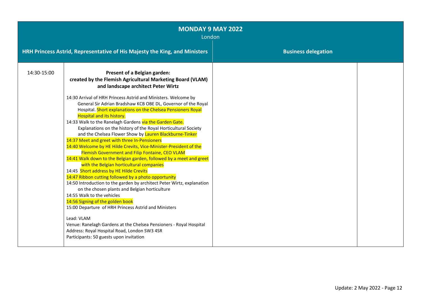| <b>MONDAY 9 MAY 2022</b><br>London |                                                                                                                                                                                                                                                                                                                                                                                                                                                                                                                                                                                                                                                                                                                                                                                                                                                                                                                                                                                                                                                                                                                                                                                                                                                                                                                                                                                                            |                            |  |
|------------------------------------|------------------------------------------------------------------------------------------------------------------------------------------------------------------------------------------------------------------------------------------------------------------------------------------------------------------------------------------------------------------------------------------------------------------------------------------------------------------------------------------------------------------------------------------------------------------------------------------------------------------------------------------------------------------------------------------------------------------------------------------------------------------------------------------------------------------------------------------------------------------------------------------------------------------------------------------------------------------------------------------------------------------------------------------------------------------------------------------------------------------------------------------------------------------------------------------------------------------------------------------------------------------------------------------------------------------------------------------------------------------------------------------------------------|----------------------------|--|
|                                    | HRH Princess Astrid, Representative of His Majesty the King, and Ministers                                                                                                                                                                                                                                                                                                                                                                                                                                                                                                                                                                                                                                                                                                                                                                                                                                                                                                                                                                                                                                                                                                                                                                                                                                                                                                                                 | <b>Business delegation</b> |  |
| 14:30-15:00                        | Present of a Belgian garden:<br>created by the Flemish Agricultural Marketing Board (VLAM)<br>and landscape architect Peter Wirtz<br>14:30 Arrival of HRH Princess Astrid and Ministers. Welcome by<br>General Sir Adrian Bradshaw KCB OBE DL, Governor of the Royal<br>Hospital. Short explanations on the Chelsea Pensioners Royal<br><b>Hospital and its history.</b><br>14:33 Walk to the Ranelagh Gardens via the Garden Gate.<br>Explanations on the history of the Royal Horticultural Society<br>and the Chelsea Flower Show by Lauren Blackburne-Tinker<br>14:37 Meet and greet with three In-Pensioners<br>14:40 Welcome by HE Hilde Crevits, Vice-Minister-President of the<br><b>Flemish Government and Filip Fontaine, CEO VLAM</b><br>14:41 Walk down to the Belgian garden, followed by a meet and greet<br>with the Belgian horticultural companies<br>14:45 Short address by HE Hilde Crevits<br>14:47 Ribbon cutting followed by a photo opportunity<br>14:50 Introduction to the garden by architect Peter Wirtz, explanation<br>on the chosen plants and Belgian horticulture<br>14:55 Walk to the vehicles<br>14:56 Signing of the golden book<br>15:00 Departure of HRH Princess Astrid and Ministers<br>Lead: VLAM<br>Venue: Ranelagh Gardens at the Chelsea Pensioners - Royal Hospital<br>Address: Royal Hospital Road, London SW3 4SR<br>Participants: 50 guests upon invitation |                            |  |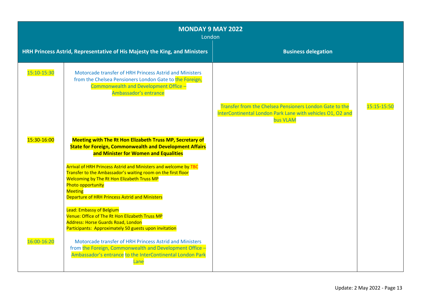| <b>MONDAY 9 MAY 2022</b><br>London |                                                                                                                                                                                                                                                                                      |                                                                                                                                   |             |
|------------------------------------|--------------------------------------------------------------------------------------------------------------------------------------------------------------------------------------------------------------------------------------------------------------------------------------|-----------------------------------------------------------------------------------------------------------------------------------|-------------|
|                                    | HRH Princess Astrid, Representative of His Majesty the King, and Ministers                                                                                                                                                                                                           | <b>Business delegation</b>                                                                                                        |             |
| 15:10-15:30                        | Motorcade transfer of HRH Princess Astrid and Ministers<br>from the Chelsea Pensioners London Gate to the Foreign,<br>Commonwealth and Development Office -<br>Ambassador's entrance                                                                                                 |                                                                                                                                   |             |
|                                    |                                                                                                                                                                                                                                                                                      | Transfer from the Chelsea Pensioners London Gate to the<br>InterContinental London Park Lane with vehicles O1, O2 and<br>bus VLAM | 15:15-15:50 |
| 15:30-16:00                        | <b>Meeting with The Rt Hon Elizabeth Truss MP, Secretary of</b><br><b>State for Foreign, Commonwealth and Development Affairs</b><br>and Minister for Women and Equalities                                                                                                           |                                                                                                                                   |             |
|                                    | Arrival of HRH Princess Astrid and Ministers and welcome by TBC<br>Transfer to the Ambassador's waiting room on the first floor<br>Welcoming by The Rt Hon Elizabeth Truss MP<br><b>Photo opportunity</b><br><b>Meeting</b><br><b>Departure of HRH Princess Astrid and Ministers</b> |                                                                                                                                   |             |
|                                    | <b>Lead: Embassy of Belgium</b><br>Venue: Office of The Rt Hon Elizabeth Truss MP<br><b>Address: Horse Guards Road, London</b><br>Participants: Approximately 50 guests upon invitation                                                                                              |                                                                                                                                   |             |
| 16:00-16:20                        | Motorcade transfer of HRH Princess Astrid and Ministers<br>from the Foreign, Commonwealth and Development Office -<br>Ambassador's entrance to the InterContinental London Park<br>Lane                                                                                              |                                                                                                                                   |             |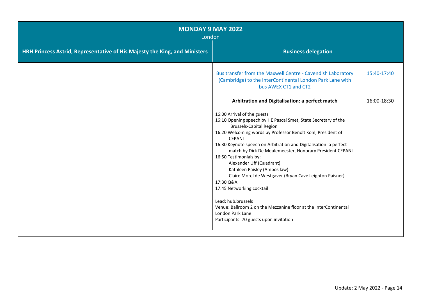| <b>MONDAY 9 MAY 2022</b><br>London                                         |                                                                                                                                                                                                                                                                                                                                                                                                                                                                                                                                                                                                                                                                                                       |             |
|----------------------------------------------------------------------------|-------------------------------------------------------------------------------------------------------------------------------------------------------------------------------------------------------------------------------------------------------------------------------------------------------------------------------------------------------------------------------------------------------------------------------------------------------------------------------------------------------------------------------------------------------------------------------------------------------------------------------------------------------------------------------------------------------|-------------|
| HRH Princess Astrid, Representative of His Majesty the King, and Ministers | <b>Business delegation</b>                                                                                                                                                                                                                                                                                                                                                                                                                                                                                                                                                                                                                                                                            |             |
|                                                                            | Bus transfer from the Maxwell Centre - Cavendish Laboratory<br>(Cambridge) to the InterContinental London Park Lane with<br>bus AWEX CT1 and CT2                                                                                                                                                                                                                                                                                                                                                                                                                                                                                                                                                      | 15:40-17:40 |
|                                                                            | Arbitration and Digitalisation: a perfect match                                                                                                                                                                                                                                                                                                                                                                                                                                                                                                                                                                                                                                                       | 16:00-18:30 |
|                                                                            | 16:00 Arrival of the guests<br>16:10 Opening speech by HE Pascal Smet, State Secretary of the<br><b>Brussels-Capital Region</b><br>16:20 Welcoming words by Professor Benoît Kohl, President of<br><b>CEPANI</b><br>16:30 Keynote speech on Arbitration and Digitalisation: a perfect<br>match by Dirk De Meulemeester, Honorary President CEPANI<br>16:50 Testimonials by:<br>Alexander Uff (Quadrant)<br>Kathleen Paisley (Ambos law)<br>Claire Morel de Westgaver (Bryan Cave Leighton Paisner)<br>17:30 Q&A<br>17:45 Networking cocktail<br>Lead: hub.brussels<br>Venue: Ballroom 2 on the Mezzanine floor at the InterContinental<br>London Park Lane<br>Participants: 70 guests upon invitation |             |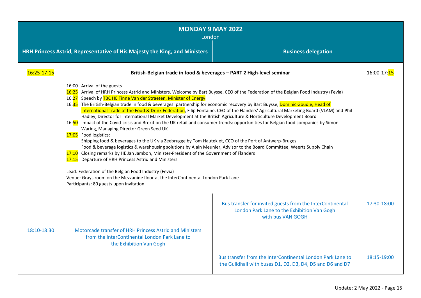| <b>MONDAY 9 MAY 2022</b><br>London |                                                                                                                                                                                                                                                                                                                                                                                                                                                                                                                                                                                                                                                                                                                                                                                                                                                                                                                                                                                                                                                                                                                                                                                                                                                                                                                                                                                                                                        |                                                                                                                               |                           |  |
|------------------------------------|----------------------------------------------------------------------------------------------------------------------------------------------------------------------------------------------------------------------------------------------------------------------------------------------------------------------------------------------------------------------------------------------------------------------------------------------------------------------------------------------------------------------------------------------------------------------------------------------------------------------------------------------------------------------------------------------------------------------------------------------------------------------------------------------------------------------------------------------------------------------------------------------------------------------------------------------------------------------------------------------------------------------------------------------------------------------------------------------------------------------------------------------------------------------------------------------------------------------------------------------------------------------------------------------------------------------------------------------------------------------------------------------------------------------------------------|-------------------------------------------------------------------------------------------------------------------------------|---------------------------|--|
|                                    | <b>Business delegation</b><br>HRH Princess Astrid, Representative of His Majesty the King, and Ministers                                                                                                                                                                                                                                                                                                                                                                                                                                                                                                                                                                                                                                                                                                                                                                                                                                                                                                                                                                                                                                                                                                                                                                                                                                                                                                                               |                                                                                                                               |                           |  |
| 16:25-17:15                        | British-Belgian trade in food & beverages - PART 2 High-level seminar                                                                                                                                                                                                                                                                                                                                                                                                                                                                                                                                                                                                                                                                                                                                                                                                                                                                                                                                                                                                                                                                                                                                                                                                                                                                                                                                                                  |                                                                                                                               | 16:00-17: <mark>15</mark> |  |
|                                    | 16:00 Arrival of the guests<br>16:25 Arrival of HRH Princess Astrid and Ministers. Welcome by Bart Buysse, CEO of the Federation of the Belgian Food Industry (Fevia)<br>16:27 Speech by TBC HE Tinne Van der Straeten, Minister of Energy<br>16:35 The British-Belgian trade in food & beverages: partnership for economic recovery by Bart Buysse, Dominic Goudie, Head of<br>International Trade of the Food & Drink Federation, Filip Fontaine, CEO of the Flanders' Agricultural Marketing Board (VLAM) and Phil<br>Hadley, Director for International Market Development at the British Agriculture & Horticulture Development Board<br>16:50 Impact of the Covid-crisis and Brexit on the UK retail and consumer trends: opportunities for Belgian food companies by Simon<br>Waring, Managing Director Green Seed UK<br>17:05 Food logistics:<br>Shipping food & beverages to the UK via Zeebrugge by Tom Hautekiet, CCO of the Port of Antwerp-Bruges<br>Food & beverage logistics & warehousing solutions by Alain Meunier, Advisor to the Board Committee, Weerts Supply Chain<br>17:10 Closing remarks by HE Jan Jambon, Minister-President of the Government of Flanders<br>17:15 Departure of HRH Princess Astrid and Ministers<br>Lead: Federation of the Belgian Food Industry (Fevia)<br>Venue: Grays room on the Mezzanine floor at the InterContinental London Park Lane<br>Participants: 80 guests upon invitation |                                                                                                                               |                           |  |
| 18:10-18:30                        | Motorcade transfer of HRH Princess Astrid and Ministers<br>from the InterContinental London Park Lane to<br>the Exhibition Van Gogh                                                                                                                                                                                                                                                                                                                                                                                                                                                                                                                                                                                                                                                                                                                                                                                                                                                                                                                                                                                                                                                                                                                                                                                                                                                                                                    | Bus transfer for invited guests from the InterContinental<br>London Park Lane to the Exhibition Van Gogh<br>with bus VAN GOGH | 17:30-18:00               |  |
|                                    |                                                                                                                                                                                                                                                                                                                                                                                                                                                                                                                                                                                                                                                                                                                                                                                                                                                                                                                                                                                                                                                                                                                                                                                                                                                                                                                                                                                                                                        | Bus transfer from the InterContinental London Park Lane to<br>the Guildhall with buses D1, D2, D3, D4, D5 and D6 and D7       | 18:15-19:00               |  |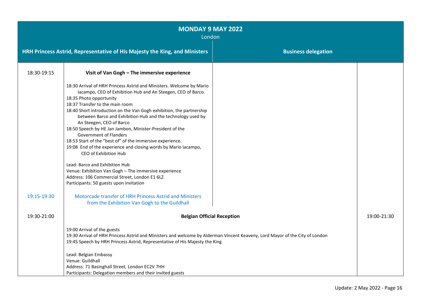| <b>MONDAY 9 MAY 2022</b><br>London |                                                                                                                                                                                                                                                                                                                                                                                                                                                                                                                                                                                                                                                                                                                                                                                                                                                                                                                                |                            |             |
|------------------------------------|--------------------------------------------------------------------------------------------------------------------------------------------------------------------------------------------------------------------------------------------------------------------------------------------------------------------------------------------------------------------------------------------------------------------------------------------------------------------------------------------------------------------------------------------------------------------------------------------------------------------------------------------------------------------------------------------------------------------------------------------------------------------------------------------------------------------------------------------------------------------------------------------------------------------------------|----------------------------|-------------|
|                                    | HRH Princess Astrid, Representative of His Majesty the King, and Ministers                                                                                                                                                                                                                                                                                                                                                                                                                                                                                                                                                                                                                                                                                                                                                                                                                                                     | <b>Business delegation</b> |             |
| 18:30-19:15                        | Visit of Van Gogh - The immersive experience                                                                                                                                                                                                                                                                                                                                                                                                                                                                                                                                                                                                                                                                                                                                                                                                                                                                                   |                            |             |
| 19:15-19:30                        | 18:30 Arrival of HRH Princess Astrid and Ministers. Welcome by Mario<br>Iacampo, CEO of Exhibition Hub and An Steegen, CEO of Barco.<br>18:35 Photo opportunity<br>18:37 Transfer to the main room<br>18:40 Short introduction on the Van Gogh exhibition, the partnership<br>between Barco and Exhibition Hub and the technology used by<br>An Steegen, CEO of Barco<br>18:50 Speech by HE Jan Jambon, Minister-President of the<br><b>Government of Flanders</b><br>18:53 Start of the "best of" of the immersive experience.<br>19:08 End of the experience and closing words by Mario Iacampo,<br>CEO of Exhibition Hub<br>Lead: Barco and Exhibition Hub<br>Venue: Exhibition Van Gogh - The immersive experience<br>Address: 106 Commercial Street, London E1 6LZ<br>Participants: 50 guests upon invitation<br>Motorcade transfer of HRH Princess Astrid and Ministers<br>from the Exhibition Van Gogh to the Guildhall |                            |             |
| 19:30-21:00                        | <b>Belgian Official Reception</b>                                                                                                                                                                                                                                                                                                                                                                                                                                                                                                                                                                                                                                                                                                                                                                                                                                                                                              |                            | 19:00-21:30 |
|                                    | 19:00 Arrival of the guests<br>19:30 Arrival of HRH Princess Astrid and Ministers and welcome by Alderman Vincent Keaveny, Lord Mayor of the City of London<br>19:45 Speech by HRH Princess Astrid, Representative of His Majesty the King<br>Lead: Belgian Embassy<br>Venue: Guildhall<br>Address: 71 Basinghall Street, London EC2V 7HH<br>Participants: Delegation members and their invited guests                                                                                                                                                                                                                                                                                                                                                                                                                                                                                                                         |                            |             |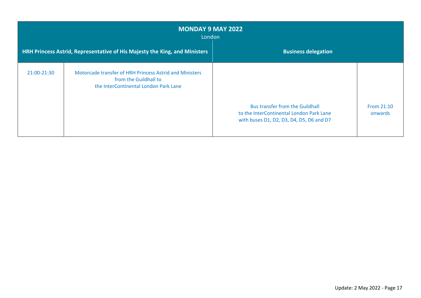| <b>MONDAY 9 MAY 2022</b><br>London |                                                                                                                           |                                                                                                                                |                       |
|------------------------------------|---------------------------------------------------------------------------------------------------------------------------|--------------------------------------------------------------------------------------------------------------------------------|-----------------------|
|                                    | HRH Princess Astrid, Representative of His Majesty the King, and Ministers                                                | <b>Business delegation</b>                                                                                                     |                       |
| 21:00-21:30                        | Motorcade transfer of HRH Princess Astrid and Ministers<br>from the Guildhall to<br>the InterContinental London Park Lane | <b>Bus transfer from the Guildhall</b><br>to the InterContinental London Park Lane<br>with buses D1, D2, D3, D4, D5, D6 and D7 | From 21:10<br>onwards |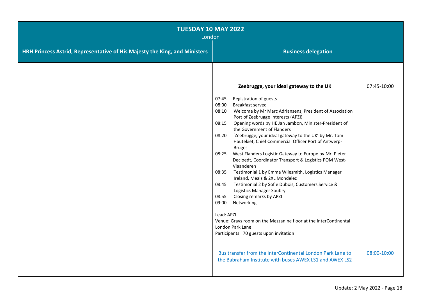| <b>TUESDAY 10 MAY 2022</b><br>London                                       |                                                                                                                                                                                                                                                                                                                                                                                                                                                                                                                                                                                                                                                                                                                                                                                                                                                                                                 |  |
|----------------------------------------------------------------------------|-------------------------------------------------------------------------------------------------------------------------------------------------------------------------------------------------------------------------------------------------------------------------------------------------------------------------------------------------------------------------------------------------------------------------------------------------------------------------------------------------------------------------------------------------------------------------------------------------------------------------------------------------------------------------------------------------------------------------------------------------------------------------------------------------------------------------------------------------------------------------------------------------|--|
| HRH Princess Astrid, Representative of His Majesty the King, and Ministers | <b>Business delegation</b>                                                                                                                                                                                                                                                                                                                                                                                                                                                                                                                                                                                                                                                                                                                                                                                                                                                                      |  |
|                                                                            | Zeebrugge, your ideal gateway to the UK<br>07:45-10:00<br>07:45<br>Registration of guests<br>08:00<br>Breakfast served<br>Welcome by Mr Marc Adriansens, President of Association<br>08:10<br>Port of Zeebrugge Interests (APZI)<br>Opening words by HE Jan Jambon, Minister-President of<br>08:15<br>the Government of Flanders<br>'Zeebrugge, your ideal gateway to the UK' by Mr. Tom<br>08:20<br>Hautekiet, Chief Commercial Officer Port of Antwerp-<br><b>Bruges</b><br>West Flanders Logistic Gateway to Europe by Mr. Pieter<br>08:25<br>Decloedt, Coordinator Transport & Logistics POM West-<br>Vlaanderen<br>08:35<br>Testimonial 1 by Emma Wilesmith, Logistics Manager<br>Ireland, Meals & 2XL Mondelez<br>Testimonial 2 by Sofie Dubois, Customers Service &<br>08:45<br><b>Logistics Manager Soubry</b><br>Closing remarks by APZI<br>08:55<br>09:00<br>Networking<br>Lead: APZI |  |
|                                                                            | Venue: Grays room on the Mezzanine floor at the InterContinental<br>London Park Lane<br>Participants: 70 guests upon invitation<br>Bus transfer from the InterContinental London Park Lane to<br>08:00-10:00<br>the Babraham Institute with buses AWEX LS1 and AWEX LS2                                                                                                                                                                                                                                                                                                                                                                                                                                                                                                                                                                                                                         |  |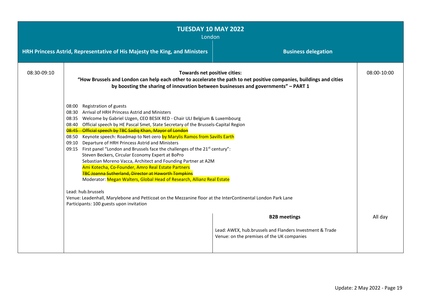| <b>TUESDAY 10 MAY 2022</b><br>London |                                                                                                                                                                                                                                                                                                                                                                                                                                                                                                                                                                                                                                                                                                                                                                                                                                                                                                                                                                                                                                                    |                                                                                                        |             |
|--------------------------------------|----------------------------------------------------------------------------------------------------------------------------------------------------------------------------------------------------------------------------------------------------------------------------------------------------------------------------------------------------------------------------------------------------------------------------------------------------------------------------------------------------------------------------------------------------------------------------------------------------------------------------------------------------------------------------------------------------------------------------------------------------------------------------------------------------------------------------------------------------------------------------------------------------------------------------------------------------------------------------------------------------------------------------------------------------|--------------------------------------------------------------------------------------------------------|-------------|
|                                      | HRH Princess Astrid, Representative of His Majesty the King, and Ministers<br><b>Business delegation</b>                                                                                                                                                                                                                                                                                                                                                                                                                                                                                                                                                                                                                                                                                                                                                                                                                                                                                                                                           |                                                                                                        |             |
| 08:30-09:10                          | Towards net positive cities:<br>"How Brussels and London can help each other to accelerate the path to net positive companies, buildings and cities<br>by boosting the sharing of innovation between businesses and governments" - PART 1                                                                                                                                                                                                                                                                                                                                                                                                                                                                                                                                                                                                                                                                                                                                                                                                          |                                                                                                        | 08:00-10:00 |
|                                      | Registration of guests<br>08:00<br>Arrival of HRH Princess Astrid and Ministers<br>08:30<br>Welcome by Gabriel Uzgen, CEO BESIX RED - Chair ULI Belgium & Luxembourg<br>08:35<br>Official speech by HE Pascal Smet, State Secretary of the Brussels-Capital Region<br>08:40<br>Official speech by TBC Sadiq Khan, Mayor of London<br>$08:45 -$<br>08:50 Keynote speech: Roadmap to Net-zero by Marylis Ramos from Savills Earth<br>Departure of HRH Princess Astrid and Ministers<br>09:10<br>09:15 First panel "London and Brussels face the challenges of the 21 <sup>st</sup> century":<br>Steven Beckers, Circular Economy Expert at BoPro<br>Sebastian Moreno Vacca, Architect and Founding Partner at A2M<br>Ami Kotecha, Co-Founder, Amro Real Estate Partners<br><b>TBC Joanna Sutherland, Director at Haworth Tompkins</b><br>Moderator: Megan Walters, Global Head of Research, Allianz Real Estate<br>Lead: hub.brussels<br>Venue: Leadenhall, Marylebone and Petticoat on the Mezzanine floor at the InterContinental London Park Lane |                                                                                                        |             |
|                                      | Participants: 100 guests upon invitation                                                                                                                                                                                                                                                                                                                                                                                                                                                                                                                                                                                                                                                                                                                                                                                                                                                                                                                                                                                                           | <b>B2B meetings</b>                                                                                    | All day     |
|                                      |                                                                                                                                                                                                                                                                                                                                                                                                                                                                                                                                                                                                                                                                                                                                                                                                                                                                                                                                                                                                                                                    | Lead: AWEX, hub.brussels and Flanders Investment & Trade<br>Venue: on the premises of the UK companies |             |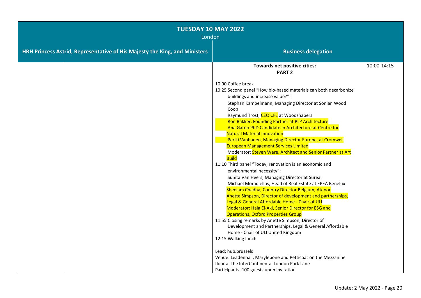| <b>TUESDAY 10 MAY 2022</b><br>London                                       |                                                                                                                                                                                                                                                                                                                                                                                                                                                                                                                                                                                                                                                                                                                                                                                                                                                                                                                                                                                                                                                                                                                                                                                                                                             |             |
|----------------------------------------------------------------------------|---------------------------------------------------------------------------------------------------------------------------------------------------------------------------------------------------------------------------------------------------------------------------------------------------------------------------------------------------------------------------------------------------------------------------------------------------------------------------------------------------------------------------------------------------------------------------------------------------------------------------------------------------------------------------------------------------------------------------------------------------------------------------------------------------------------------------------------------------------------------------------------------------------------------------------------------------------------------------------------------------------------------------------------------------------------------------------------------------------------------------------------------------------------------------------------------------------------------------------------------|-------------|
| HRH Princess Astrid, Representative of His Majesty the King, and Ministers | <b>Business delegation</b>                                                                                                                                                                                                                                                                                                                                                                                                                                                                                                                                                                                                                                                                                                                                                                                                                                                                                                                                                                                                                                                                                                                                                                                                                  |             |
|                                                                            | Towards net positive cities:<br><b>PART 2</b>                                                                                                                                                                                                                                                                                                                                                                                                                                                                                                                                                                                                                                                                                                                                                                                                                                                                                                                                                                                                                                                                                                                                                                                               | 10:00-14:15 |
|                                                                            | 10:00 Coffee break<br>10:25 Second panel "How bio-based materials can both decarbonize<br>buildings and increase value?":<br>Stephan Kampelmann, Managing Director at Sonian Wood<br>Coop<br>Raymund Trost, CEO CFE at Woodshapers<br>Ron Bakker, Founding Partner at PLP Architecture<br>Ana Gatóo PhD Candidate in Architecture at Centre for<br><b>Natural Material Innovation</b><br>Pertti Vanhanen, Managing Director Europe, at Cromwell<br><b>European Management Services Limited</b><br>Moderator: Steven Ware, Architect and Senior Partner at Art<br><b>Build</b><br>11:10 Third panel "Today, renovation is an economic and<br>environmental necessity":<br>Sunita Van Heers, Managing Director at Sureal<br>Michael Moradiellos, Head of Real Estate at EPEA Benelux<br>Sheelam Chadha, Country Director Belgium, Atenor<br>Anette Simpson, Director of development and partnerships,<br>Legal & General Affordable Home - Chair of ULI<br>Moderator: Hala El-Akl, Senior Director for ESG and<br><b>Operations, Oxford Properties Group</b><br>11:55 Closing remarks by Anette Simpson, Director of<br>Development and Partnerships, Legal & General Affordable<br>Home - Chair of ULI United Kingdom<br>12:15 Walking lunch |             |
|                                                                            | Lead: hub.brussels<br>Venue: Leadenhall, Marylebone and Petticoat on the Mezzanine<br>floor at the InterContinental London Park Lane<br>Participants: 100 guests upon invitation                                                                                                                                                                                                                                                                                                                                                                                                                                                                                                                                                                                                                                                                                                                                                                                                                                                                                                                                                                                                                                                            |             |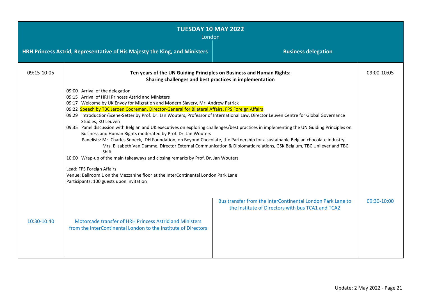| <b>TUESDAY 10 MAY 2022</b><br>London |                                                                                                                                                                                                                                                                                                                                                                                                                                                                                                                                                                                                                                                                                                                                                                                                                                                                                                                     |                                                                                                                                                                                                                                                          |             |
|--------------------------------------|---------------------------------------------------------------------------------------------------------------------------------------------------------------------------------------------------------------------------------------------------------------------------------------------------------------------------------------------------------------------------------------------------------------------------------------------------------------------------------------------------------------------------------------------------------------------------------------------------------------------------------------------------------------------------------------------------------------------------------------------------------------------------------------------------------------------------------------------------------------------------------------------------------------------|----------------------------------------------------------------------------------------------------------------------------------------------------------------------------------------------------------------------------------------------------------|-------------|
|                                      | HRH Princess Astrid, Representative of His Majesty the King, and Ministers                                                                                                                                                                                                                                                                                                                                                                                                                                                                                                                                                                                                                                                                                                                                                                                                                                          | <b>Business delegation</b>                                                                                                                                                                                                                               |             |
| 09:15-10:05                          | Ten years of the UN Guiding Principles on Business and Human Rights:<br>Sharing challenges and best practices in implementation                                                                                                                                                                                                                                                                                                                                                                                                                                                                                                                                                                                                                                                                                                                                                                                     |                                                                                                                                                                                                                                                          | 09:00-10:05 |
|                                      | 09:00 Arrival of the delegation<br>09:15 Arrival of HRH Princess Astrid and Ministers<br>09:17 Welcome by UK Envoy for Migration and Modern Slavery, Mr. Andrew Patrick<br>09:22 Speech by TBC Jeroen Cooreman, Director-General for Bilateral Affairs, FPS Foreign Affairs<br>09:29 Introduction/Scene-Setter by Prof. Dr. Jan Wouters, Professor of International Law, Director Leuven Centre for Global Governance<br>Studies, KU Leuven<br>09:35 Panel discussion with Belgian and UK executives on exploring challenges/best practices in implementing the UN Guiding Principles on<br>Business and Human Rights moderated by Prof. Dr. Jan Wouters<br>Shift<br>10:00 Wrap-up of the main takeaways and closing remarks by Prof. Dr. Jan Wouters<br>Lead: FPS Foreign Affairs<br>Venue: Ballroom 1 on the Mezzanine floor at the InterContinental London Park Lane<br>Participants: 100 guests upon invitation | Panelists: Mr. Charles Snoeck, IDH Foundation, on Beyond Chocolate, the Partnership for a sustainable Belgian chocolate industry,<br>Mrs. Elisabeth Van Damme, Director External Communication & Diplomatic relations, GSK Belgium, TBC Unilever and TBC |             |
| 10:30-10:40                          | Motorcade transfer of HRH Princess Astrid and Ministers<br>from the InterContinental London to the Institute of Directors                                                                                                                                                                                                                                                                                                                                                                                                                                                                                                                                                                                                                                                                                                                                                                                           | Bus transfer from the InterContinental London Park Lane to<br>the Institute of Directors with bus TCA1 and TCA2                                                                                                                                          | 09:30-10:00 |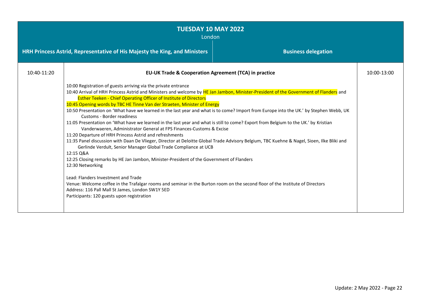| <b>TUESDAY 10 MAY 2022</b><br>London |                                                                                                                                                                                                                                                                                                                                                                                                                                                                                                                                                                                                                                                                                                                                                                                                                                                                                                                                                                                                                                                                                                                                                                                                                                                                                                                                                                                                                                           |  |             |
|--------------------------------------|-------------------------------------------------------------------------------------------------------------------------------------------------------------------------------------------------------------------------------------------------------------------------------------------------------------------------------------------------------------------------------------------------------------------------------------------------------------------------------------------------------------------------------------------------------------------------------------------------------------------------------------------------------------------------------------------------------------------------------------------------------------------------------------------------------------------------------------------------------------------------------------------------------------------------------------------------------------------------------------------------------------------------------------------------------------------------------------------------------------------------------------------------------------------------------------------------------------------------------------------------------------------------------------------------------------------------------------------------------------------------------------------------------------------------------------------|--|-------------|
|                                      | HRH Princess Astrid, Representative of His Majesty the King, and Ministers<br><b>Business delegation</b>                                                                                                                                                                                                                                                                                                                                                                                                                                                                                                                                                                                                                                                                                                                                                                                                                                                                                                                                                                                                                                                                                                                                                                                                                                                                                                                                  |  |             |
| 10:40-11:20                          | <b>EU-UK Trade &amp; Cooperation Agreement (TCA) in practice</b>                                                                                                                                                                                                                                                                                                                                                                                                                                                                                                                                                                                                                                                                                                                                                                                                                                                                                                                                                                                                                                                                                                                                                                                                                                                                                                                                                                          |  | 10:00-13:00 |
|                                      | 10:00 Registration of guests arriving via the private entrance<br>10:40 Arrival of HRH Princess Astrid and Ministers and welcome by HE Jan Jambon, Minister-President of the Government of Flanders and<br><b>Esther Teeken - Chief Operating Officer of Institute of Directors</b><br>10:45 Opening words by TBC HE Tinne Van der Straeten, Minister of Energy<br>10:50 Presentation on 'What have we learned in the last year and what is to come? Import from Europe into the UK.' by Stephen Webb, UK<br>Customs - Border readiness<br>11:05 Presentation on 'What have we learned in the last year and what is still to come? Export from Belgium to the UK.' by Kristian<br>Vanderwaeren, Administrator General at FPS Finances-Customs & Excise<br>11:20 Departure of HRH Princess Astrid and refreshments<br>11:35 Panel discussion with Daan De Vlieger, Director at Deloitte Global Trade Advisory Belgium, TBC Kuehne & Nagel, Sioen, Ilke Bliki and<br>Gerlinde Verdult, Senior Manager Global Trade Compliance at UCB<br>12:15 Q&A<br>12:25 Closing remarks by HE Jan Jambon, Minister-President of the Government of Flanders<br>12:30 Networking<br>Lead: Flanders Investment and Trade<br>Venue: Welcome coffee in the Trafalgar rooms and seminar in the Burton room on the second floor of the Institute of Directors<br>Address: 116 Pall Mall St James, London SW1Y 5ED<br>Participants: 120 guests upon registration |  |             |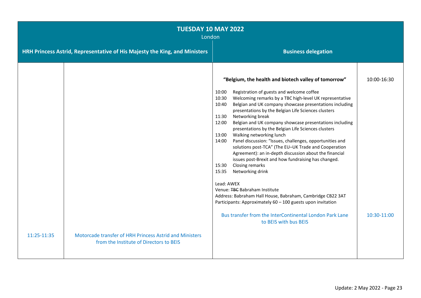|             | <b>TUESDAY 10 MAY 2022</b><br>London                                                               |                                                                                                                                                                                                                                                                                                                                                                                                                                                                                                                                                                                                                                                                                                                                                                                                                                                                                                                                                                                           |             |  |
|-------------|----------------------------------------------------------------------------------------------------|-------------------------------------------------------------------------------------------------------------------------------------------------------------------------------------------------------------------------------------------------------------------------------------------------------------------------------------------------------------------------------------------------------------------------------------------------------------------------------------------------------------------------------------------------------------------------------------------------------------------------------------------------------------------------------------------------------------------------------------------------------------------------------------------------------------------------------------------------------------------------------------------------------------------------------------------------------------------------------------------|-------------|--|
|             | HRH Princess Astrid, Representative of His Majesty the King, and Ministers                         | <b>Business delegation</b>                                                                                                                                                                                                                                                                                                                                                                                                                                                                                                                                                                                                                                                                                                                                                                                                                                                                                                                                                                |             |  |
|             |                                                                                                    | "Belgium, the health and biotech valley of tomorrow"<br>Registration of guests and welcome coffee<br>10:00<br>Welcoming remarks by a TBC high-level UK representative<br>10:30<br>Belgian and UK company showcase presentations including<br>10:40<br>presentations by the Belgian Life Sciences clusters<br>Networking break<br>11:30<br>Belgian and UK company showcase presentations including<br>12:00<br>presentations by the Belgian Life Sciences clusters<br>Walking networking lunch<br>13:00<br>Panel discussion: "Issues, challenges, opportunities and<br>14:00<br>solutions post-TCA" (The EU-UK Trade and Cooperation<br>Agreement): an in-depth discussion about the financial<br>issues post-Brexit and how fundraising has changed.<br>Closing remarks<br>15:30<br>15:35<br>Networking drink<br>Lead: AWEX<br>Venue: TBC Babraham Institute<br>Address: Babraham Hall House, Babraham, Cambridge CB22 3AT<br>Participants: Approximately 60 - 100 guests upon invitation | 10:00-16:30 |  |
|             |                                                                                                    | Bus transfer from the InterContinental London Park Lane<br>to BEIS with bus BEIS                                                                                                                                                                                                                                                                                                                                                                                                                                                                                                                                                                                                                                                                                                                                                                                                                                                                                                          | 10:30-11:00 |  |
| 11:25-11:35 | Motorcade transfer of HRH Princess Astrid and Ministers<br>from the Institute of Directors to BEIS |                                                                                                                                                                                                                                                                                                                                                                                                                                                                                                                                                                                                                                                                                                                                                                                                                                                                                                                                                                                           |             |  |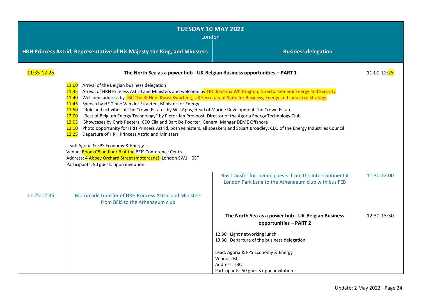| <b>TUESDAY 10 MAY 2022</b><br>London |                                                                                                                                                                                                                                                                                                                                                                                                                                                                                                                                                                                                                                                                                                                                                                                                                                                                                                                                                                                                                            |                                                                                                                                   |                           |
|--------------------------------------|----------------------------------------------------------------------------------------------------------------------------------------------------------------------------------------------------------------------------------------------------------------------------------------------------------------------------------------------------------------------------------------------------------------------------------------------------------------------------------------------------------------------------------------------------------------------------------------------------------------------------------------------------------------------------------------------------------------------------------------------------------------------------------------------------------------------------------------------------------------------------------------------------------------------------------------------------------------------------------------------------------------------------|-----------------------------------------------------------------------------------------------------------------------------------|---------------------------|
|                                      | HRH Princess Astrid, Representative of His Majesty the King, and Ministers                                                                                                                                                                                                                                                                                                                                                                                                                                                                                                                                                                                                                                                                                                                                                                                                                                                                                                                                                 | <b>Business delegation</b>                                                                                                        |                           |
| 11:35-12:25                          | The North Sea as a power hub - UK-Belgian Business opportunities - PART 1                                                                                                                                                                                                                                                                                                                                                                                                                                                                                                                                                                                                                                                                                                                                                                                                                                                                                                                                                  |                                                                                                                                   | 11:00-12: <mark>25</mark> |
|                                      | Arrival of the Belgian business delegation<br>11:00<br>Arrival of HRH Princess Astrid and Ministers and welcome by TBC Johanna Whittington, Director General Energy and Security<br>11:35<br>Welcome address by TBC The Rt Hon. Kwasi Kwarteng, UK Secretary of State for Business, Energy and Industrial Strategy<br>11:40<br>11:45<br>Speech by HE Tinne Van der Straeten, Minister for Energy<br>"Role and activities of The Crown Estate" by Will Apps, Head of Marine Development The Crown Estate<br>11:50<br>"Best of Belgium Energy Technology" by Pieter-Jan Provoost, Director of the Agoria Energy Technology Club<br>12:00<br>Showcases by Chris Peeters, CEO Elia and Bart De Poorter, General Manger DEME Offshore<br>12:05<br>12:10<br>12:25<br>Departure of HRH Princess Astrid and Ministers<br>Lead: Agoria & FPS Economy & Energy<br>Venue: Room C8 on floor B of the BEIS Conference Centre<br>Address: 4 Abbey Orchard Street (motorcade), London SW1H 0ET<br>Participants: 50 guests upon invitation | Photo opportunity for HRH Princess Astrid, both Ministers, all speakers and Stuart Broadley, CEO of the Energy Industries Council |                           |
|                                      |                                                                                                                                                                                                                                                                                                                                                                                                                                                                                                                                                                                                                                                                                                                                                                                                                                                                                                                                                                                                                            | Bus transfer for invited guests from the InterContinental<br>London Park Lane to the Athenaeum club with bus FEB                  | 11:30-12:00               |
| 12:25-12:35                          | Motorcade transfer of HRH Princess Astrid and Ministers<br>from BEIS to the Athenaeum club                                                                                                                                                                                                                                                                                                                                                                                                                                                                                                                                                                                                                                                                                                                                                                                                                                                                                                                                 |                                                                                                                                   |                           |
|                                      |                                                                                                                                                                                                                                                                                                                                                                                                                                                                                                                                                                                                                                                                                                                                                                                                                                                                                                                                                                                                                            | The North Sea as a power hub - UK-Belgian Business<br>opportunities - PART 2                                                      | 12:30-13:30               |
|                                      |                                                                                                                                                                                                                                                                                                                                                                                                                                                                                                                                                                                                                                                                                                                                                                                                                                                                                                                                                                                                                            | 12:30 Light networking lunch<br>13:30 Departure of the business delegation                                                        |                           |
|                                      |                                                                                                                                                                                                                                                                                                                                                                                                                                                                                                                                                                                                                                                                                                                                                                                                                                                                                                                                                                                                                            | Lead: Agoria & FPS Economy & Energy<br>Venue: TBC<br>Address: TBC<br>Participants: 50 guests upon invitation                      |                           |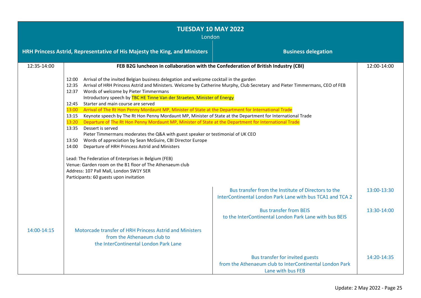| <b>TUESDAY 10 MAY 2022</b><br>London |                                                                                                                                                                                                                                                                                                                                                                                                                                                                                                                                                                                                                                                                                                                                                                                                                                                                                                                                                                                                                                                                                                         |                                                                                                                             |             |  |
|--------------------------------------|---------------------------------------------------------------------------------------------------------------------------------------------------------------------------------------------------------------------------------------------------------------------------------------------------------------------------------------------------------------------------------------------------------------------------------------------------------------------------------------------------------------------------------------------------------------------------------------------------------------------------------------------------------------------------------------------------------------------------------------------------------------------------------------------------------------------------------------------------------------------------------------------------------------------------------------------------------------------------------------------------------------------------------------------------------------------------------------------------------|-----------------------------------------------------------------------------------------------------------------------------|-------------|--|
|                                      | HRH Princess Astrid, Representative of His Majesty the King, and Ministers<br><b>Business delegation</b>                                                                                                                                                                                                                                                                                                                                                                                                                                                                                                                                                                                                                                                                                                                                                                                                                                                                                                                                                                                                |                                                                                                                             |             |  |
| 12:35-14:00                          | FEB B2G luncheon in collaboration with the Confederation of British Industry (CBI)                                                                                                                                                                                                                                                                                                                                                                                                                                                                                                                                                                                                                                                                                                                                                                                                                                                                                                                                                                                                                      |                                                                                                                             | 12:00-14:00 |  |
|                                      | Arrival of the invited Belgian business delegation and welcome cocktail in the garden<br>12:00<br>12:35<br>12:37 Words of welcome by Pieter Timmermans<br>Introductory speech by TBC HE Tinne Van der Straeten, Minister of Energy<br>Starter and main course are served<br>12:45<br>Arrival of The Rt Hon Penny Mordaunt MP, Minister of State at the Department for International Trade<br>13:00<br>13:15 Keynote speech by The Rt Hon Penny Mordaunt MP, Minister of State at the Department for International Trade<br>13:20<br>Departure of The Rt Hon Penny Mordaunt MP, Minister of State at the Department for International Trade<br>Dessert is served<br>13:35<br>Pieter Timmermans moderates the Q&A with guest speaker or testimonial of UK CEO<br>Words of appreciation by Sean McGuire, CBI Director Europe<br>13:50<br>14:00<br>Departure of HRH Princess Astrid and Ministers<br>Lead: The Federation of Enterprises in Belgium (FEB)<br>Venue: Garden room on the B1 floor of The Athenaeum club<br>Address: 107 Pall Mall, London SW1Y 5ER<br>Participants: 60 guests upon invitation | Arrival of HRH Princess Astrid and Ministers. Welcome by Catherine Murphy, Club Secretary and Pieter Timmermans, CEO of FEB |             |  |
|                                      |                                                                                                                                                                                                                                                                                                                                                                                                                                                                                                                                                                                                                                                                                                                                                                                                                                                                                                                                                                                                                                                                                                         | Bus transfer from the Institute of Directors to the<br>InterContinental London Park Lane with bus TCA1 and TCA 2            | 13:00-13:30 |  |
|                                      |                                                                                                                                                                                                                                                                                                                                                                                                                                                                                                                                                                                                                                                                                                                                                                                                                                                                                                                                                                                                                                                                                                         | <b>Bus transfer from BEIS</b><br>to the InterContinental London Park Lane with bus BEIS                                     | 13:30-14:00 |  |
| 14:00-14:15                          | Motorcade transfer of HRH Princess Astrid and Ministers<br>from the Athenaeum club to<br>the InterContinental London Park Lane                                                                                                                                                                                                                                                                                                                                                                                                                                                                                                                                                                                                                                                                                                                                                                                                                                                                                                                                                                          |                                                                                                                             |             |  |
|                                      |                                                                                                                                                                                                                                                                                                                                                                                                                                                                                                                                                                                                                                                                                                                                                                                                                                                                                                                                                                                                                                                                                                         | Bus transfer for invited guests<br>from the Athenaeum club to InterContinental London Park<br>Lane with bus FEB             | 14:20-14:35 |  |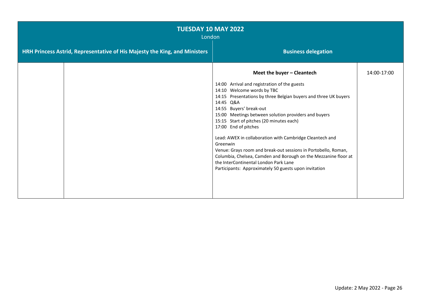| <b>TUESDAY 10 MAY 2022</b><br>London                                       |  |                                                                                                                                                                                                                                                                                                                                                                                                                                                                                                                                                                                                                                                                |             |
|----------------------------------------------------------------------------|--|----------------------------------------------------------------------------------------------------------------------------------------------------------------------------------------------------------------------------------------------------------------------------------------------------------------------------------------------------------------------------------------------------------------------------------------------------------------------------------------------------------------------------------------------------------------------------------------------------------------------------------------------------------------|-------------|
| HRH Princess Astrid, Representative of His Majesty the King, and Ministers |  | <b>Business delegation</b>                                                                                                                                                                                                                                                                                                                                                                                                                                                                                                                                                                                                                                     |             |
|                                                                            |  | Meet the buyer - Cleantech<br>14:00 Arrival and registration of the guests<br>14:10 Welcome words by TBC<br>14:15 Presentations by three Belgian buyers and three UK buyers<br>14:45 Q&A<br>14:55 Buyers' break-out<br>15:00 Meetings between solution providers and buyers<br>15:15 Start of pitches (20 minutes each)<br>17:00 End of pitches<br>Lead: AWEX in collaboration with Cambridge Cleantech and<br>Greenwin<br>Venue: Grays room and break-out sessions in Portobello, Roman,<br>Columbia, Chelsea, Camden and Borough on the Mezzanine floor at<br>the InterContinental London Park Lane<br>Participants: Approximately 50 guests upon invitation | 14:00-17:00 |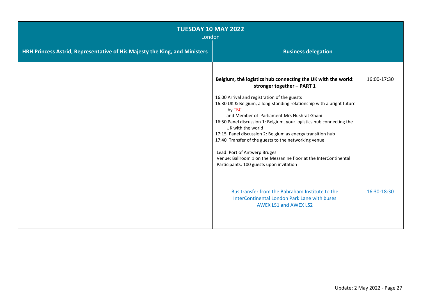| <b>TUESDAY 10 MAY 2022</b><br>London                                                                     |                                                                                                                                                                                                                                                                                                                                                                                                                                                                                                                                                                                                                                                |             |  |
|----------------------------------------------------------------------------------------------------------|------------------------------------------------------------------------------------------------------------------------------------------------------------------------------------------------------------------------------------------------------------------------------------------------------------------------------------------------------------------------------------------------------------------------------------------------------------------------------------------------------------------------------------------------------------------------------------------------------------------------------------------------|-------------|--|
| HRH Princess Astrid, Representative of His Majesty the King, and Ministers<br><b>Business delegation</b> |                                                                                                                                                                                                                                                                                                                                                                                                                                                                                                                                                                                                                                                |             |  |
|                                                                                                          | Belgium, thé logistics hub connecting the UK with the world:<br>stronger together - PART 1<br>16:00 Arrival and registration of the guests<br>16:30 UK & Belgium, a long-standing relationship with a bright future<br>by TBC<br>and Member of Parliament Mrs Nushrat Ghani<br>16:50 Panel discussion 1: Belgium, your logistics hub connecting the<br>UK with the world<br>17:15 Panel discussion 2: Belgium as energy transition hub<br>17:40 Transfer of the guests to the networking venue<br>Lead: Port of Antwerp Bruges<br>Venue: Ballroom 1 on the Mezzanine floor at the InterContinental<br>Participants: 100 guests upon invitation | 16:00-17:30 |  |
|                                                                                                          | Bus transfer from the Babraham Institute to the<br>InterContinental London Park Lane with buses<br><b>AWEX LS1 and AWEX LS2</b>                                                                                                                                                                                                                                                                                                                                                                                                                                                                                                                | 16:30-18:30 |  |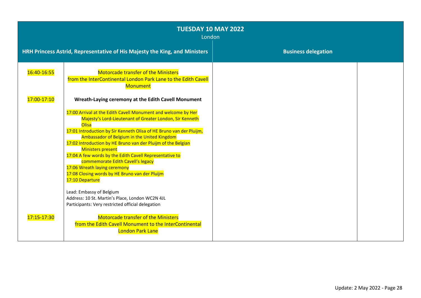| <b>TUESDAY 10 MAY 2022</b><br>London |                                                                                                                                                                                                                                                                                                                                                                                                                                                                                                                                                           |                            |  |
|--------------------------------------|-----------------------------------------------------------------------------------------------------------------------------------------------------------------------------------------------------------------------------------------------------------------------------------------------------------------------------------------------------------------------------------------------------------------------------------------------------------------------------------------------------------------------------------------------------------|----------------------------|--|
|                                      | HRH Princess Astrid, Representative of His Majesty the King, and Ministers                                                                                                                                                                                                                                                                                                                                                                                                                                                                                | <b>Business delegation</b> |  |
| 16:40-16:55                          | <b>Motorcade transfer of the Ministers</b><br>from the InterContinental London Park Lane to the Edith Cavell<br><b>Monument</b>                                                                                                                                                                                                                                                                                                                                                                                                                           |                            |  |
| 17:00-17:10                          | Wreath-Laying ceremony at the Edith Cavell Monument                                                                                                                                                                                                                                                                                                                                                                                                                                                                                                       |                            |  |
|                                      | 17:00 Arrival at the Edith Cavell Monument and welcome by Her<br>Majesty's Lord-Lieutenant of Greater London, Sir Kenneth<br>Olisa<br>17:01 Introduction by Sir Kenneth Olisa of HE Bruno van der Pluijm,<br>Ambassador of Belgium in the United Kingdom<br>17:02 Introduction by HE Bruno van der Pluijm of the Belgian<br><b>Ministers present</b><br>17:04 A few words by the Edith Cavell Representative to<br>commemorate Edith Cavell's legacy<br>17:06 Wreath laying ceremony<br>17:08 Closing words by HE Bruno van der Pluijm<br>17:10 Departure |                            |  |
|                                      | Lead: Embassy of Belgium<br>Address: 10 St. Martin's Place, London WC2N 4JL<br>Participants: Very restricted official delegation                                                                                                                                                                                                                                                                                                                                                                                                                          |                            |  |
| 17:15-17:30                          | <b>Motorcade transfer of the Ministers</b><br>from the Edith Cavell Monument to the InterContinental<br><b>London Park Lane</b>                                                                                                                                                                                                                                                                                                                                                                                                                           |                            |  |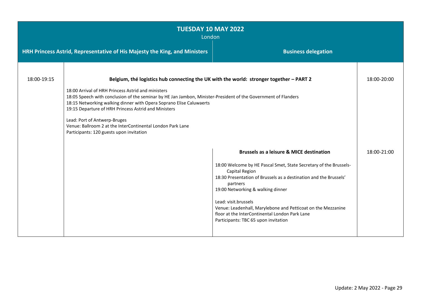| <b>TUESDAY 10 MAY 2022</b><br>London |                                                                                                                                                                                                                                                                                                                                                                                                                                                                                                                                          |                                                                                                                                                                                                                                                                                                                                                                                                                                                           |             |
|--------------------------------------|------------------------------------------------------------------------------------------------------------------------------------------------------------------------------------------------------------------------------------------------------------------------------------------------------------------------------------------------------------------------------------------------------------------------------------------------------------------------------------------------------------------------------------------|-----------------------------------------------------------------------------------------------------------------------------------------------------------------------------------------------------------------------------------------------------------------------------------------------------------------------------------------------------------------------------------------------------------------------------------------------------------|-------------|
|                                      | HRH Princess Astrid, Representative of His Majesty the King, and Ministers<br><b>Business delegation</b>                                                                                                                                                                                                                                                                                                                                                                                                                                 |                                                                                                                                                                                                                                                                                                                                                                                                                                                           |             |
| 18:00-19:15                          | Belgium, thé logistics hub connecting the UK with the world: stronger together - PART 2<br>18:00 Arrival of HRH Princess Astrid and ministers<br>18:05 Speech with conclusion of the seminar by HE Jan Jambon, Minister-President of the Government of Flanders<br>18:15 Networking walking dinner with Opera Soprano Elise Caluwaerts<br>19:15 Departure of HRH Princess Astrid and Ministers<br>Lead: Port of Antwerp-Bruges<br>Venue: Ballroom 2 at the InterContinental London Park Lane<br>Participants: 120 guests upon invitation |                                                                                                                                                                                                                                                                                                                                                                                                                                                           | 18:00-20:00 |
|                                      |                                                                                                                                                                                                                                                                                                                                                                                                                                                                                                                                          | <b>Brussels as a leisure &amp; MICE destination</b><br>18:00 Welcome by HE Pascal Smet, State Secretary of the Brussels-<br><b>Capital Region</b><br>18:30 Presentation of Brussels as a destination and the Brussels'<br>partners<br>19:00 Networking & walking dinner<br>Lead: visit.brussels<br>Venue: Leadenhall, Marylebone and Petticoat on the Mezzanine<br>floor at the InterContinental London Park Lane<br>Participants: TBC 65 upon invitation | 18:00-21:00 |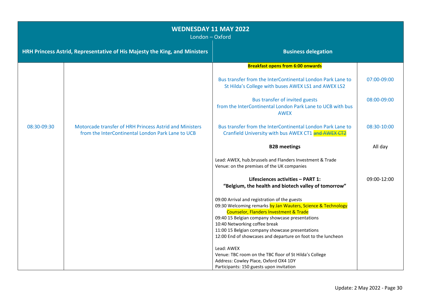| <b>WEDNESDAY 11 MAY 2022</b><br>London - Oxford |                                                                                                              |                                                                                                                                                                   |             |
|-------------------------------------------------|--------------------------------------------------------------------------------------------------------------|-------------------------------------------------------------------------------------------------------------------------------------------------------------------|-------------|
|                                                 | HRH Princess Astrid, Representative of His Majesty the King, and Ministers                                   | <b>Business delegation</b>                                                                                                                                        |             |
|                                                 |                                                                                                              | <b>Breakfast opens from 6:00 onwards</b>                                                                                                                          |             |
|                                                 |                                                                                                              | Bus transfer from the InterContinental London Park Lane to<br>St Hilda's College with buses AWEX LS1 and AWEX LS2                                                 | 07:00-09:00 |
|                                                 |                                                                                                              | Bus transfer of invited guests<br>from the InterContinental London Park Lane to UCB with bus<br><b>AWEX</b>                                                       | 08:00-09:00 |
| 08:30-09:30                                     | Motorcade transfer of HRH Princess Astrid and Ministers<br>from the InterContinental London Park Lane to UCB | Bus transfer from the InterContinental London Park Lane to<br>Cranfield University with bus AWEX CT1 and AWEX CT2                                                 | 08:30-10:00 |
|                                                 |                                                                                                              | <b>B2B meetings</b>                                                                                                                                               | All day     |
|                                                 |                                                                                                              | Lead: AWEX, hub.brussels and Flanders Investment & Trade<br>Venue: on the premises of the UK companies                                                            |             |
|                                                 |                                                                                                              | Lifesciences activities - PART 1:<br>"Belgium, the health and biotech valley of tomorrow"                                                                         | 09:00-12:00 |
|                                                 |                                                                                                              | 09:00 Arrival and registration of the guests<br>09:30 Welcoming remarks by Jan Wauters, Science & Technology<br><b>Counselor, Flanders Investment &amp; Trade</b> |             |
|                                                 |                                                                                                              | 09:40 15 Belgian company showcase presentations<br>10:40 Networking coffee break                                                                                  |             |
|                                                 |                                                                                                              | 11:00 15 Belgian company showcase presentations                                                                                                                   |             |
|                                                 |                                                                                                              | 12:00 End of showcases and departure on foot to the luncheon                                                                                                      |             |
|                                                 |                                                                                                              | Lead: AWEX<br>Venue: TBC room on the TBC floor of St Hilda's College                                                                                              |             |
|                                                 |                                                                                                              | Address: Cowley Place, Oxford OX4 1DY                                                                                                                             |             |
|                                                 |                                                                                                              | Participants: 150 guests upon invitation                                                                                                                          |             |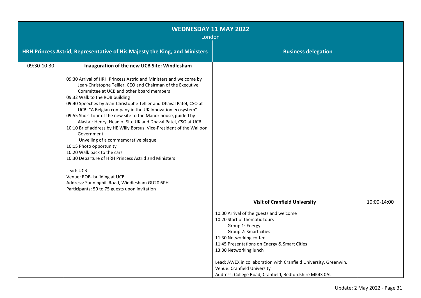| <b>WEDNESDAY 11 MAY 2022</b><br>London |                                                                                                                                                                                                                                                                                                                                                                                                                                                                                                                                                                                                                                                                                                                                                                                                                                                                                 |                                                                                                                                                                                                                                                                                                                                                                                         |             |
|----------------------------------------|---------------------------------------------------------------------------------------------------------------------------------------------------------------------------------------------------------------------------------------------------------------------------------------------------------------------------------------------------------------------------------------------------------------------------------------------------------------------------------------------------------------------------------------------------------------------------------------------------------------------------------------------------------------------------------------------------------------------------------------------------------------------------------------------------------------------------------------------------------------------------------|-----------------------------------------------------------------------------------------------------------------------------------------------------------------------------------------------------------------------------------------------------------------------------------------------------------------------------------------------------------------------------------------|-------------|
|                                        | HRH Princess Astrid, Representative of His Majesty the King, and Ministers                                                                                                                                                                                                                                                                                                                                                                                                                                                                                                                                                                                                                                                                                                                                                                                                      | <b>Business delegation</b>                                                                                                                                                                                                                                                                                                                                                              |             |
| 09:30-10:30                            | Inauguration of the new UCB Site: Windlesham                                                                                                                                                                                                                                                                                                                                                                                                                                                                                                                                                                                                                                                                                                                                                                                                                                    |                                                                                                                                                                                                                                                                                                                                                                                         |             |
|                                        | 09:30 Arrival of HRH Princess Astrid and Ministers and welcome by<br>Jean-Christophe Tellier, CEO and Chairman of the Executive<br>Committee at UCB and other board members<br>09:32 Walk to the ROB building<br>09:40 Speeches by Jean-Christophe Tellier and Dhaval Patel, CSO at<br>UCB: "A Belgian company in the UK Innovation ecosystem"<br>09:55 Short tour of the new site to the Manor house, guided by<br>Alastair Henry, Head of Site UK and Dhaval Patel, CSO at UCB<br>10:10 Brief address by HE Willy Borsus, Vice-President of the Walloon<br>Government<br>Unveiling of a commemorative plaque<br>10:15 Photo opportunity<br>10:20 Walk back to the cars<br>10:30 Departure of HRH Princess Astrid and Ministers<br>Lead: UCB<br>Venue: ROB- building at UCB<br>Address: Sunninghill Road, Windlesham GU20 6PH<br>Participants: 50 to 75 guests upon invitation |                                                                                                                                                                                                                                                                                                                                                                                         |             |
|                                        |                                                                                                                                                                                                                                                                                                                                                                                                                                                                                                                                                                                                                                                                                                                                                                                                                                                                                 | <b>Visit of Cranfield University</b>                                                                                                                                                                                                                                                                                                                                                    | 10:00-14:00 |
|                                        |                                                                                                                                                                                                                                                                                                                                                                                                                                                                                                                                                                                                                                                                                                                                                                                                                                                                                 | 10:00 Arrival of the guests and welcome<br>10:20 Start of thematic tours<br>Group 1: Energy<br>Group 2: Smart cities<br>11:30 Networking coffee<br>11:45 Presentations on Energy & Smart Cities<br>13:00 Networking lunch<br>Lead: AWEX in collaboration with Cranfield University, Greenwin.<br>Venue: Cranfield University<br>Address: College Road, Cranfield, Bedfordshire MK43 0AL |             |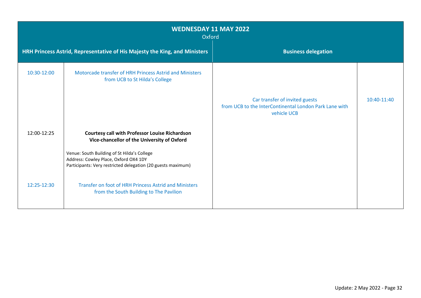| <b>WEDNESDAY 11 MAY 2022</b><br>Oxford |                                                                                                                                                                                                                                                              |                                                                                                         |             |
|----------------------------------------|--------------------------------------------------------------------------------------------------------------------------------------------------------------------------------------------------------------------------------------------------------------|---------------------------------------------------------------------------------------------------------|-------------|
|                                        | HRH Princess Astrid, Representative of His Majesty the King, and Ministers                                                                                                                                                                                   | <b>Business delegation</b>                                                                              |             |
| 10:30-12:00                            | Motorcade transfer of HRH Princess Astrid and Ministers<br>from UCB to St Hilda's College                                                                                                                                                                    | Car transfer of invited guests<br>from UCB to the InterContinental London Park Lane with<br>vehicle UCB | 10:40-11:40 |
| 12:00-12:25                            | <b>Courtesy call with Professor Louise Richardson</b><br>Vice-chancellor of the University of Oxford<br>Venue: South Building of St Hilda's College<br>Address: Cowley Place, Oxford OX4 1DY<br>Participants: Very restricted delegation (20 guests maximum) |                                                                                                         |             |
| 12:25-12:30                            | Transfer on foot of HRH Princess Astrid and Ministers<br>from the South Building to The Pavilion                                                                                                                                                             |                                                                                                         |             |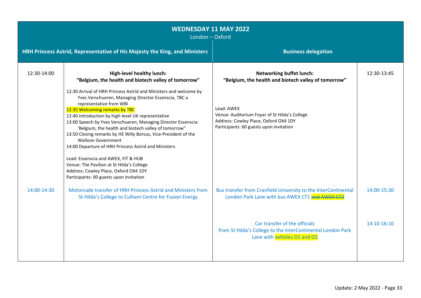| <b>WEDNESDAY 11 MAY 2022</b><br>London - Oxford |                                                                                                                                                                                                                                                                                                                                                                                                                                                                                                                                                                                                                                                                                                        |                                                                                                                                                 |             |
|-------------------------------------------------|--------------------------------------------------------------------------------------------------------------------------------------------------------------------------------------------------------------------------------------------------------------------------------------------------------------------------------------------------------------------------------------------------------------------------------------------------------------------------------------------------------------------------------------------------------------------------------------------------------------------------------------------------------------------------------------------------------|-------------------------------------------------------------------------------------------------------------------------------------------------|-------------|
|                                                 | HRH Princess Astrid, Representative of His Majesty the King, and Ministers                                                                                                                                                                                                                                                                                                                                                                                                                                                                                                                                                                                                                             | <b>Business delegation</b>                                                                                                                      |             |
| 12:30-14:00                                     | <b>High-level healthy lunch:</b><br>"Belgium, the health and biotech valley of tomorrow"                                                                                                                                                                                                                                                                                                                                                                                                                                                                                                                                                                                                               | <b>Networking buffet lunch:</b><br>"Belgium, the health and biotech valley of tomorrow"                                                         | 12:30-13:45 |
|                                                 | 12:30 Arrival of HRH Princess Astrid and Ministers and welcome by<br>Yves Verschueren, Managing Director Essenscia, TBC a<br>representative from WBI<br>12:35 Welcoming remarks by TBC<br>12:40 Introduction by high-level UK representative<br>13:00 Speech by Yves Verschueren, Managing Director Essenscia:<br>'Belgium, the health and biotech valley of tomorrow"<br>13:50 Closing remarks by HE Willy Borsus, Vice-President of the<br><b>Walloon Government</b><br>14:00 Departure of HRH Princess Astrid and Ministers<br>Lead: Essenscia and AWEX, FIT & HUB<br>Venue: The Pavilion at St Hilda's College<br>Address: Cowley Place, Oxford OX4 1DY<br>Participants: 90 guests upon invitation | Lead: AWEX<br>Venue: Auditorium Foyer of St Hilda's College<br>Address: Cowley Place, Oxford OX4 1DY<br>Participants: 60 guests upon invitation |             |
| 14:00-14:30                                     | Motorcade transfer of HRH Princess Astrid and Ministers from<br>St Hilda's College to Culham Centre for Fusion Energy                                                                                                                                                                                                                                                                                                                                                                                                                                                                                                                                                                                  | Bus transfer from Cranfield University to the InterContinental<br>London Park Lane with bus AWEX CT1 and AWEX CT2                               | 14:00-15:30 |
|                                                 |                                                                                                                                                                                                                                                                                                                                                                                                                                                                                                                                                                                                                                                                                                        | Car transfer of the officials<br>from St Hilda's College to the InterContinental London Park<br>Lane with vehicles O1 and O2                    | 14:10-16:10 |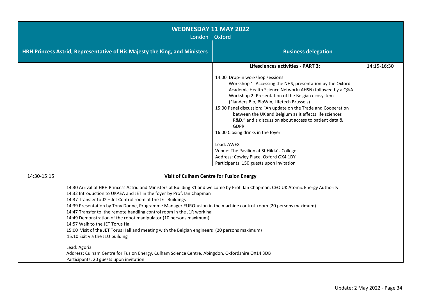| <b>WEDNESDAY 11 MAY 2022</b><br>London - Oxford |                                                                                                                                                                                                                                                                                                                                                                                                                                                                                                                                                                                                                                                                                                                                                                                                                                                                                                                                         |                                                                                                                                                                                                                                                                                                                                                                                                                                                                                                                                                                                                                                                                                                  |             |
|-------------------------------------------------|-----------------------------------------------------------------------------------------------------------------------------------------------------------------------------------------------------------------------------------------------------------------------------------------------------------------------------------------------------------------------------------------------------------------------------------------------------------------------------------------------------------------------------------------------------------------------------------------------------------------------------------------------------------------------------------------------------------------------------------------------------------------------------------------------------------------------------------------------------------------------------------------------------------------------------------------|--------------------------------------------------------------------------------------------------------------------------------------------------------------------------------------------------------------------------------------------------------------------------------------------------------------------------------------------------------------------------------------------------------------------------------------------------------------------------------------------------------------------------------------------------------------------------------------------------------------------------------------------------------------------------------------------------|-------------|
|                                                 | HRH Princess Astrid, Representative of His Majesty the King, and Ministers<br><b>Business delegation</b>                                                                                                                                                                                                                                                                                                                                                                                                                                                                                                                                                                                                                                                                                                                                                                                                                                |                                                                                                                                                                                                                                                                                                                                                                                                                                                                                                                                                                                                                                                                                                  |             |
|                                                 |                                                                                                                                                                                                                                                                                                                                                                                                                                                                                                                                                                                                                                                                                                                                                                                                                                                                                                                                         | <b>Lifesciences activities - PART 3:</b><br>14:00 Drop-in workshop sessions<br>Workshop 1: Accessing the NHS, presentation by the Oxford<br>Academic Health Science Network (AHSN) followed by a Q&A<br>Workshop 2: Presentation of the Belgian ecosystem<br>(Flanders Bio, BioWin, Lifetech Brussels)<br>15:00 Panel discussion: "An update on the Trade and Cooperation<br>between the UK and Belgium as it affects life sciences<br>R&D." and a discussion about access to patient data &<br><b>GDPR</b><br>16:00 Closing drinks in the foyer<br>Lead: AWEX<br>Venue: The Pavilion at St Hilda's College<br>Address: Cowley Place, Oxford OX4 1DY<br>Participants: 150 guests upon invitation | 14:15-16:30 |
| 14:30-15:15                                     | <b>Visit of Culham Centre for Fusion Energy</b><br>14:30 Arrival of HRH Princess Astrid and Ministers at Building K1 and welcome by Prof. Ian Chapman, CEO UK Atomic Energy Authority<br>14:32 Introduction to UKAEA and JET in the foyer by Prof. Ian Chapman<br>14:37 Transfer to J2 - Jet Control room at the JET Buildings<br>14:39 Presentation by Tony Donne, Programme Manager EUROfusion in the machine control room (20 persons maximum)<br>14:47 Transfer to the remote handling control room in the J1R work hall<br>14:49 Demonstration of the robot manipulator (10 persons maximum)<br>14:57 Walk to the JET Torus Hall<br>15:00 Visit of the JET Torus Hall and meeting with the Belgian engineers (20 persons maximum)<br>15:10 Exit via the J1U building<br>Lead: Agoria<br>Address: Culham Centre for Fusion Energy, Culham Science Centre, Abingdon, Oxfordshire OX14 3DB<br>Participants: 20 guests upon invitation |                                                                                                                                                                                                                                                                                                                                                                                                                                                                                                                                                                                                                                                                                                  |             |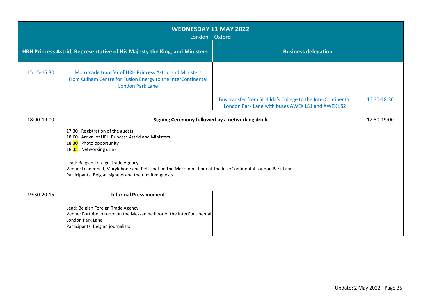| <b>WEDNESDAY 11 MAY 2022</b><br>London - Oxford |                                                                                                                                                                                                             |                                                                                                                   |             |
|-------------------------------------------------|-------------------------------------------------------------------------------------------------------------------------------------------------------------------------------------------------------------|-------------------------------------------------------------------------------------------------------------------|-------------|
|                                                 | HRH Princess Astrid, Representative of His Majesty the King, and Ministers                                                                                                                                  | <b>Business delegation</b>                                                                                        |             |
| 15:15-16:30                                     | Motorcade transfer of HRH Princess Astrid and Ministers<br>from Culham Centre for Fusion Energy to the InterContinental<br><b>London Park Lane</b>                                                          |                                                                                                                   |             |
|                                                 |                                                                                                                                                                                                             | Bus transfer from St Hilda's College to the InterContinental<br>London Park Lane with buses AWEX LS1 and AWEX LS2 | 16:30-18:30 |
| 18:00-19:00                                     | Signing Ceremony followed by a networking drink                                                                                                                                                             |                                                                                                                   | 17:30-19:00 |
|                                                 | 17:30 Registration of the guests<br>18:00 Arrival of HRH Princess Astrid and Ministers<br>18:30 Photo opportunity<br>18:35 Networking drink                                                                 |                                                                                                                   |             |
|                                                 | Lead: Belgian Foreign Trade Agency<br>Venue: Leadenhall, Marylebone and Petticoat on the Mezzanine floor at the InterContinental London Park Lane<br>Participants: Belgian signees and their invited guests |                                                                                                                   |             |
| 19:30-20:15                                     | <b>Informal Press moment</b>                                                                                                                                                                                |                                                                                                                   |             |
|                                                 | Lead: Belgian Foreign Trade Agency<br>Venue: Portobello room on the Mezzanine floor of the InterContinental<br>London Park Lane<br>Participants: Belgian journalists                                        |                                                                                                                   |             |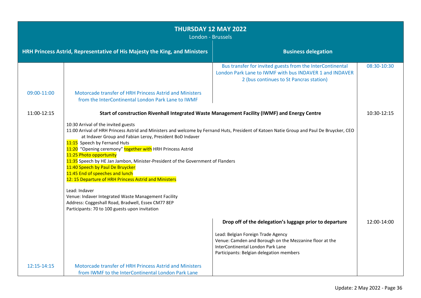| THURSDAY 12 MAY 2022<br>London - Brussels                                                                |                                                                                                                                                                                                                                                                                                                                                                                                                                                                                                                                                                                                                                                                                                                                                                          |                                                                                                                                                                                                                                           |             |
|----------------------------------------------------------------------------------------------------------|--------------------------------------------------------------------------------------------------------------------------------------------------------------------------------------------------------------------------------------------------------------------------------------------------------------------------------------------------------------------------------------------------------------------------------------------------------------------------------------------------------------------------------------------------------------------------------------------------------------------------------------------------------------------------------------------------------------------------------------------------------------------------|-------------------------------------------------------------------------------------------------------------------------------------------------------------------------------------------------------------------------------------------|-------------|
| HRH Princess Astrid, Representative of His Majesty the King, and Ministers<br><b>Business delegation</b> |                                                                                                                                                                                                                                                                                                                                                                                                                                                                                                                                                                                                                                                                                                                                                                          |                                                                                                                                                                                                                                           |             |
|                                                                                                          |                                                                                                                                                                                                                                                                                                                                                                                                                                                                                                                                                                                                                                                                                                                                                                          | Bus transfer for invited guests from the InterContinental<br>London Park Lane to IWMF with bus INDAVER 1 and INDAVER<br>2 (bus continues to St Pancras station)                                                                           | 08:30-10:30 |
| 09:00-11:00                                                                                              | Motorcade transfer of HRH Princess Astrid and Ministers<br>from the InterContinental London Park Lane to IWMF                                                                                                                                                                                                                                                                                                                                                                                                                                                                                                                                                                                                                                                            |                                                                                                                                                                                                                                           |             |
| 11:00-12:15                                                                                              | Start of construction Rivenhall Integrated Waste Management Facility (IWMF) and Energy Centre                                                                                                                                                                                                                                                                                                                                                                                                                                                                                                                                                                                                                                                                            |                                                                                                                                                                                                                                           | 10:30-12:15 |
|                                                                                                          | 10:30 Arrival of the invited guests<br>11:00 Arrival of HRH Princess Astrid and Ministers and welcome by Fernand Huts, President of Katoen Natie Group and Paul De Bruycker, CEO<br>at Indaver Group and Fabian Leroy, President BoD Indaver<br>11:15 Speech by Fernand Huts<br>11:20 "Opening ceremony" together with HRH Princess Astrid<br>11:25 Photo opportunity<br>11:35 Speech by HE Jan Jambon, Minister-President of the Government of Flanders<br>11:40 Speech by Paul De Bruycker<br>11:45 End of speeches and lunch<br>12: 15 Departure of HRH Princess Astrid and Ministers<br>Lead: Indaver<br>Venue: Indaver Integrated Waste Management Facility<br>Address: Coggeshall Road, Bradwell, Essex CM77 8EP<br>Participants: 70 to 100 guests upon invitation |                                                                                                                                                                                                                                           |             |
|                                                                                                          |                                                                                                                                                                                                                                                                                                                                                                                                                                                                                                                                                                                                                                                                                                                                                                          | Drop off of the delegation's luggage prior to departure<br>Lead: Belgian Foreign Trade Agency<br>Venue: Camden and Borough on the Mezzanine floor at the<br>InterContinental London Park Lane<br>Participants: Belgian delegation members | 12:00-14:00 |
| 12:15-14:15                                                                                              | Motorcade transfer of HRH Princess Astrid and Ministers<br>from IWMF to the InterContinental London Park Lane                                                                                                                                                                                                                                                                                                                                                                                                                                                                                                                                                                                                                                                            |                                                                                                                                                                                                                                           |             |